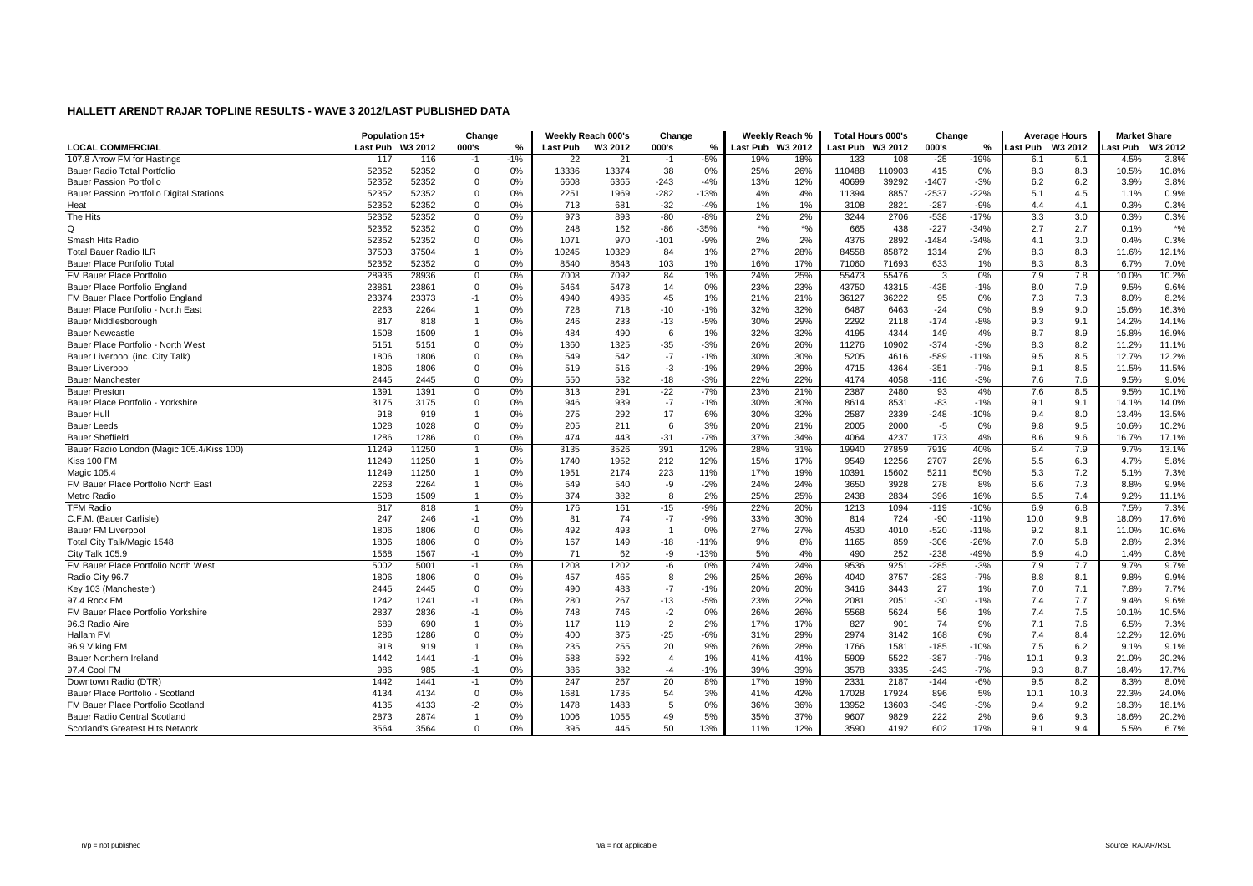|                                           | Population 15+   |       | Change      |       |          | Weekly Reach 000's | Change         |        |                  | Weekly Reach % | <b>Total Hours 000's</b> |        | Change  |        | <b>Average Hours</b> |      | <b>Market Share</b> |         |
|-------------------------------------------|------------------|-------|-------------|-------|----------|--------------------|----------------|--------|------------------|----------------|--------------------------|--------|---------|--------|----------------------|------|---------------------|---------|
| <b>LOCAL COMMERCIAL</b>                   | Last Pub W3 2012 |       | 000's       | %     | Last Pub | W3 2012            | 000's          | %      | Last Pub W3 2012 |                | Last Pub W3 2012         |        | 000's   | %      | Last Pub W3 2012     |      | ast Pub             | W3 2012 |
| 107.8 Arrow FM for Hastings               | 117              | 116   | $-1$        | $-1%$ | 22       | 21                 | $-1$           | $-5%$  | 19%              | 18%            | 133                      | 108    | $-25$   | $-19%$ | 6.1                  | 5.1  | 4.5%                | 3.8%    |
| <b>Bauer Radio Total Portfolio</b>        | 52352            | 52352 | $\Omega$    | 0%    | 13336    | 13374              | 38             | 0%     | 25%              | 26%            | 110488                   | 110903 | 415     | 0%     | 8.3                  | 8.3  | 10.5%               | 10.8%   |
| <b>Bauer Passion Portfolio</b>            | 52352            | 52352 | $\Omega$    | 0%    | 6608     | 6365               | $-243$         | $-4%$  | 13%              | 12%            | 40699                    | 39292  | $-1407$ | $-3%$  | 6.2                  | 6.2  | 3.9%                | 3.8%    |
| Bauer Passion Portfolio Digital Stations  | 52352            | 52352 | $\mathbf 0$ | 0%    | 2251     | 1969               | $-282$         | $-13%$ | 4%               | 4%             | 11394                    | 8857   | $-2537$ | $-22%$ | 5.1                  | 4.5  | 1.1%                | 0.9%    |
| Heat                                      | 52352            | 52352 | $\Omega$    | 0%    | 713      | 681                | $-32$          | $-4%$  | 1%               | 1%             | 3108                     | 2821   | $-287$  | $-9%$  | 4.4                  | 4.1  | 0.3%                | 0.3%    |
| The Hits                                  | 52352            | 52352 | $\mathbf 0$ | 0%    | 973      | 893                | $-80$          | $-8%$  | 2%               | 2%             | 3244                     | 2706   | $-538$  | $-17%$ | 3.3                  | 3.0  | 0.3%                | 0.3%    |
| Q                                         | 52352            | 52352 | $\Omega$    | 0%    | 248      | 162                | $-86$          | $-35%$ | $*$ %            | $*$ %          | 665                      | 438    | $-227$  | $-34%$ | 2.7                  | 2.7  | 0.1%                | $*$ %   |
| Smash Hits Radio                          | 52352            | 52352 | $\Omega$    | 0%    | 1071     | 970                | $-101$         | $-9%$  | 2%               | 2%             | 4376                     | 2892   | $-1484$ | $-34%$ | 4.1                  | 3.0  | 0.4%                | 0.3%    |
| <b>Total Bauer Radio ILR</b>              | 37503            | 37504 |             | 0%    | 10245    | 10329              | 84             | 1%     | 27%              | 28%            | 84558                    | 85872  | 1314    | 2%     | 8.3                  | 8.3  | 11.6%               | 12.1%   |
| Bauer Place Portfolio Total               | 52352            | 52352 | $\mathbf 0$ | 0%    | 8540     | 8643               | 103            | 1%     | 16%              | 17%            | 71060                    | 71693  | 633     | 1%     | 8.3                  | 8.3  | 6.7%                | 7.0%    |
| FM Bauer Place Portfolio                  | 28936            | 28936 | $\mathbf 0$ | 0%    | 7008     | 7092               | 84             | 1%     | 24%              | 25%            | 55473                    | 55476  | 3       | 0%     | 7.9                  | 7.8  | 10.0%               | 10.2%   |
| Bauer Place Portfolio England             | 23861            | 23861 | $\Omega$    | 0%    | 5464     | 5478               | 14             | 0%     | 23%              | 23%            | 43750                    | 43315  | $-435$  | $-1%$  | 8.0                  | 7.9  | 9.5%                | 9.6%    |
| FM Bauer Place Portfolio England          | 23374            | 23373 | $-1$        | 0%    | 4940     | 4985               | 45             | 1%     | 21%              | 21%            | 36127                    | 36222  | 95      | 0%     | 7.3                  | 7.3  | 8.0%                | 8.2%    |
| Bauer Place Portfolio - North East        | 2263             | 2264  |             | 0%    | 728      | 718                | $-10$          | $-1%$  | 32%              | 32%            | 6487                     | 6463   | $-24$   | 0%     | 8.9                  | 9.0  | 15.6%               | 16.3%   |
| Bauer Middlesborough                      | 817              | 818   |             | 0%    | 246      | 233                | $-13$          | $-5%$  | 30%              | 29%            | 2292                     | 2118   | $-174$  | $-8%$  | 9.3                  | 9.1  | 14.2%               | 14.1%   |
| <b>Bauer Newcastle</b>                    | 1508             | 1509  |             | 0%    | 484      | 490                | 6              | 1%     | 32%              | 32%            | 4195                     | 4344   | 149     | 4%     | 8.7                  | 8.9  | 15.8%               | 16.9%   |
| Bauer Place Portfolio - North West        | 5151             | 5151  | $\Omega$    | 0%    | 1360     | 1325               | $-35$          | $-3%$  | 26%              | 26%            | 11276                    | 10902  | $-374$  | $-3%$  | 8.3                  | 8.2  | 11.2%               | 11.1%   |
| Bauer Liverpool (inc. City Talk)          | 1806             | 1806  | $\Omega$    | 0%    | 549      | 542                | $-7$           | $-1%$  | 30%              | 30%            | 5205                     | 4616   | $-589$  | $-11%$ | 9.5                  | 8.5  | 12.7%               | 12.2%   |
| <b>Bauer Liverpool</b>                    | 1806             | 1806  | $\Omega$    | 0%    | 519      | 516                | $-3$           | $-1%$  | 29%              | 29%            | 4715                     | 4364   | $-351$  | $-7%$  | 9.1                  | 8.5  | 11.5%               | 11.5%   |
| <b>Bauer Manchester</b>                   | 2445             | 2445  | $\Omega$    | 0%    | 550      | 532                | $-18$          | $-3%$  | 22%              | 22%            | 4174                     | 4058   | $-116$  | $-3%$  | 7.6                  | 7.6  | 9.5%                | 9.0%    |
| <b>Bauer Preston</b>                      | 1391             | 1391  | $\mathbf 0$ | 0%    | 313      | 291                | $-22$          | $-7%$  | 23%              | 21%            | 2387                     | 2480   | 93      | 4%     | 7.6                  | 8.5  | 9.5%                | 10.1%   |
| Bauer Place Portfolio - Yorkshire         | 3175             | 3175  | $\Omega$    | 0%    | 946      | 939                | $-7$           | $-1%$  | 30%              | 30%            | 8614                     | 8531   | $-83$   | $-1%$  | 9.1                  | 9.1  | 14.1%               | 14.0%   |
| <b>Bauer Hull</b>                         | 918              | 919   |             | 0%    | 275      | 292                | 17             | 6%     | 30%              | 32%            | 2587                     | 2339   | $-248$  | $-10%$ | 9.4                  | 8.0  | 13.4%               | 13.5%   |
| <b>Bauer Leeds</b>                        | 1028             | 1028  | $\Omega$    | 0%    | 205      | 211                | 6              | 3%     | 20%              | 21%            | 2005                     | 2000   | $-5$    | 0%     | 9.8                  | 9.5  | 10.6%               | 10.2%   |
| <b>Bauer Sheffield</b>                    | 1286             | 1286  | $\mathbf 0$ | 0%    | 474      | 443                | $-31$          | $-7%$  | 37%              | 34%            | 4064                     | 4237   | 173     | 4%     | 8.6                  | 9.6  | 16.7%               | 17.1%   |
| Bauer Radio London (Magic 105.4/Kiss 100) | 11249            | 11250 |             | 0%    | 3135     | 3526               | 391            | 12%    | 28%              | 31%            | 19940                    | 27859  | 7919    | 40%    | 6.4                  | 7.9  | 9.7%                | 13.1%   |
| Kiss 100 FM                               | 11249            | 11250 |             | 0%    | 1740     | 1952               | 212            | 12%    | 15%              | 17%            | 9549                     | 12256  | 2707    | 28%    | 5.5                  | 6.3  | 4.7%                | 5.8%    |
| Magic 105.4                               | 11249            | 11250 |             | 0%    | 1951     | 2174               | 223            | 11%    | 17%              | 19%            | 10391                    | 15602  | 5211    | 50%    | 5.3                  | 7.2  | 5.1%                | 7.3%    |
| FM Bauer Place Portfolio North East       | 2263             | 2264  |             | 0%    | 549      | 540                | $-9$           | $-2%$  | 24%              | 24%            | 3650                     | 3928   | 278     | 8%     | 6.6                  | 7.3  | 8.8%                | 9.9%    |
| Metro Radio                               | 1508             | 1509  |             | 0%    | 374      | 382                | 8              | 2%     | 25%              | 25%            | 2438                     | 2834   | 396     | 16%    | 6.5                  | 7.4  | 9.2%                | 11.1%   |
| <b>TFM Radio</b>                          | 817              | 818   |             | 0%    | 176      | 161                | -15            | $-9%$  | 22%              | 20%            | 1213                     | 1094   | $-119$  | $-10%$ | 6.9                  | 6.8  | 7.5%                | 7.3%    |
| C.F.M. (Bauer Carlisle)                   | 247              | 246   | $-1$        | 0%    | 81       | 74                 | $-7$           | $-9%$  | 33%              | 30%            | 814                      | 724    | $-90$   | $-11%$ | 10.0                 | 9.8  | 18.0%               | 17.6%   |
| <b>Bauer FM Liverpool</b>                 | 1806             | 1806  | $\Omega$    | 0%    | 492      | 493                | $\overline{1}$ | 0%     | 27%              | 27%            | 4530                     | 4010   | $-520$  | $-11%$ | 9.2                  | 8.1  | 11.0%               | 10.6%   |
| Total City Talk/Magic 1548                | 1806             | 1806  | $\Omega$    | 0%    | 167      | 149                | $-18$          | $-11%$ | 9%               | 8%             | 1165                     | 859    | $-306$  | $-26%$ | 7.0                  | 5.8  | 2.8%                | 2.3%    |
| City Talk 105.9                           | 1568             | 1567  | $-1$        | 0%    | 71       | 62                 | -9             | $-13%$ | 5%               | 4%             | 490                      | 252    | $-238$  | $-49%$ | 6.9                  | 4.0  | 1.4%                | 0.8%    |
| FM Bauer Place Portfolio North West       | 5002             | 5001  | $-1$        | 0%    | 1208     | 1202               | $-6$           | 0%     | 24%              | 24%            | 9536                     | 9251   | $-285$  | $-3%$  | 7.9                  | 7.7  | 9.7%                | 9.7%    |
| Radio City 96.7                           | 1806             | 1806  | $\mathbf 0$ | 0%    | 457      | 465                | 8              | 2%     | 25%              | 26%            | 4040                     | 3757   | $-283$  | $-7%$  | 8.8                  | 8.1  | 9.8%                | 9.9%    |
| Key 103 (Manchester)                      | 2445             | 2445  | $\Omega$    | 0%    | 490      | 483                | $-7$           | $-1%$  | 20%              | 20%            | 3416                     | 3443   | 27      | 1%     | 7.0                  | 7.1  | 7.8%                | 7.7%    |
| 97.4 Rock FM                              | 1242             | 1241  | $-1$        | 0%    | 280      | 267                | $-13$          | $-5%$  | 23%              | 22%            | 2081                     | 2051   | $-30$   | $-1%$  | 7.4                  | 7.7  | 9.4%                | 9.6%    |
| FM Bauer Place Portfolio Yorkshire        | 2837             | 2836  | $-1$        | 0%    | 748      | 746                | $-2$           | 0%     | 26%              | 26%            | 5568                     | 5624   | 56      | 1%     | 7.4                  | 7.5  | 10.1%               | 10.5%   |
| 96.3 Radio Aire                           | 689              | 690   |             | 0%    | 117      | 119                | $\overline{2}$ | 2%     | 17%              | 17%            | 827                      | 901    | 74      | 9%     | 7.1                  | 7.6  | 6.5%                | 7.3%    |
| Hallam FM                                 | 1286             | 1286  | $\Omega$    | 0%    | 400      | 375                | $-25$          | $-6%$  | 31%              | 29%            | 2974                     | 3142   | 168     | 6%     | 7.4                  | 8.4  | 12.2%               | 12.6%   |
| 96.9 Viking FM                            | 918              | 919   |             | 0%    | 235      | 255                | 20             | 9%     | 26%              | 28%            | 1766                     | 1581   | $-185$  | $-10%$ | 7.5                  | 6.2  | 9.1%                | 9.1%    |
| Bauer Northern Ireland                    | 1442             | 1441  | $-1$        | 0%    | 588      | 592                | $\overline{4}$ | 1%     | 41%              | 41%            | 5909                     | 5522   | $-387$  | -7%    | 10.1                 | 9.3  | 21.0%               | 20.2%   |
| 97.4 Cool FM                              | 986              | 985   | $-1$        | 0%    | 386      | 382                | $-4$           | $-1%$  | 39%              | 39%            | 3578                     | 3335   | $-243$  | $-7%$  | 9.3                  | 8.7  | 18.4%               | 17.7%   |
| Downtown Radio (DTR)                      | 1442             | 1441  | $-1$        | 0%    | 247      | 267                | 20             | 8%     | 17%              | 19%            | 2331                     | 2187   | $-144$  | $-6%$  | 9.5                  | 8.2  | 8.3%                | 8.0%    |
| Bauer Place Portfolio - Scotland          | 4134             | 4134  | $\mathbf 0$ | 0%    | 1681     | 1735               | 54             | 3%     | 41%              | 42%            | 17028                    | 17924  | 896     | 5%     | 10.1                 | 10.3 | 22.3%               | 24.0%   |
| FM Bauer Place Portfolio Scotland         | 4135             | 4133  | $-2$        | 0%    | 1478     | 1483               | 5              | 0%     | 36%              | 36%            | 13952                    | 13603  | $-349$  | -3%    | 9.4                  | 9.2  | 18.3%               | 18.1%   |
| Bauer Radio Central Scotland              | 2873             | 2874  |             | 0%    | 1006     | 1055               | 49             | 5%     | 35%              | 37%            | 9607                     | 9829   | 222     | 2%     | 9.6                  | 9.3  | 18.6%               | 20.2%   |
| Scotland's Greatest Hits Network          | 3564             | 3564  | $\Omega$    | 0%    | 395      | 445                | 50             | 13%    | 11%              | 12%            | 3590                     | 4192   | 602     | 17%    | 9.1                  | 9.4  | 5.5%                | 6.7%    |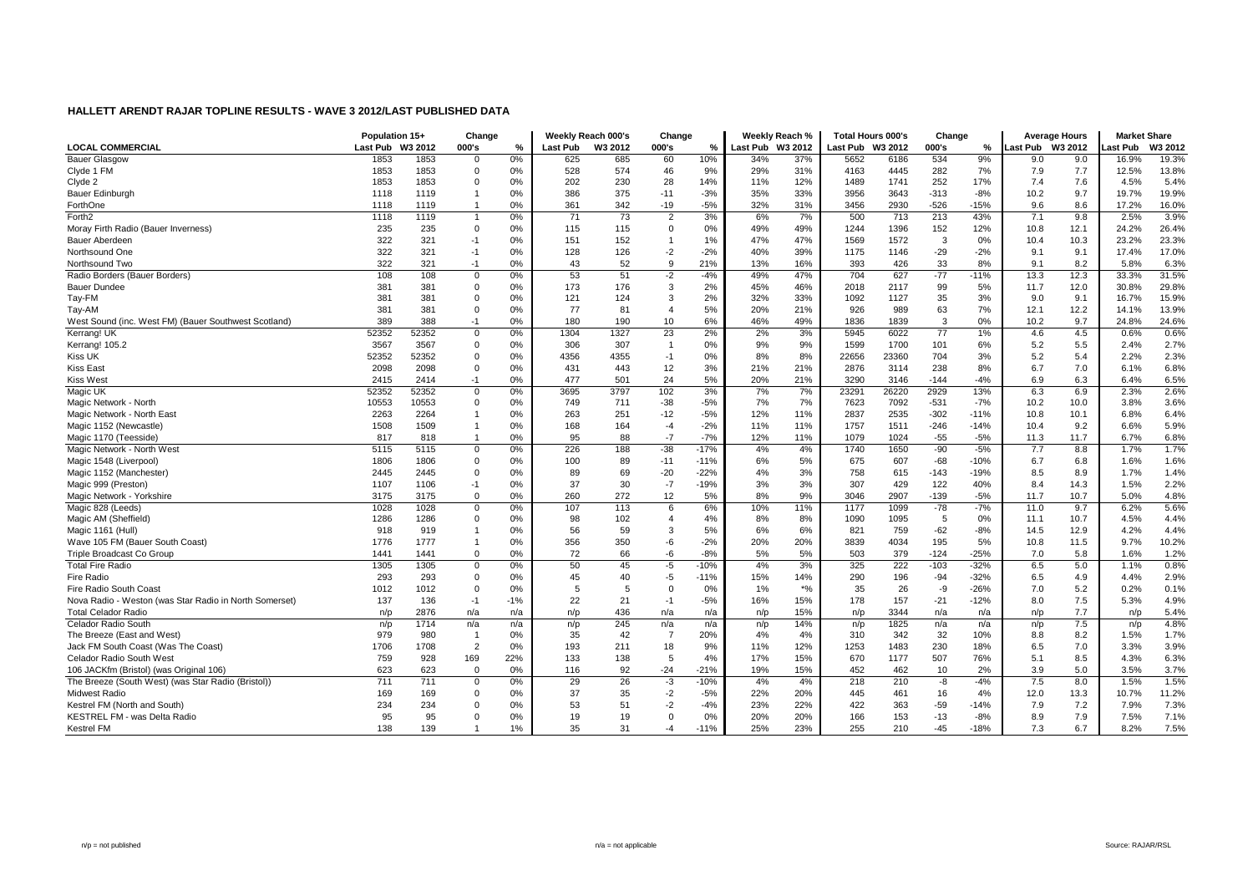|                                                        | Population 15+ |         | Change         |       |                 | Weekly Reach 000's | Change         |        |                  | Weekly Reach % | Total Hours 000's |       | Change |        |                 | <b>Average Hours</b> | <b>Market Share</b> |         |
|--------------------------------------------------------|----------------|---------|----------------|-------|-----------------|--------------------|----------------|--------|------------------|----------------|-------------------|-------|--------|--------|-----------------|----------------------|---------------------|---------|
| <b>LOCAL COMMERCIAL</b>                                | Last Pub       | W3 2012 | 000's          | %     | <b>Last Pub</b> | W3 2012            | 000's          | %      | Last Pub W3 2012 |                | Last Pub W3 2012  |       | 000's  | ℅      | ast Pub W3 2012 |                      | ast Pub             | W3 2012 |
| <b>Bauer Glasgow</b>                                   | 1853           | 1853    | $\mathbf 0$    | 0%    | 625             | 685                | 60             | 10%    | 34%              | 37%            | 5652              | 6186  | 534    | 9%     | 9.0             | 9.0                  | 16.9%               | 19.3%   |
| Clyde 1 FM                                             | 1853           | 1853    | $\Omega$       | 0%    | 528             | 574                | 46             | 9%     | 29%              | 31%            | 4163              | 4445  | 282    | 7%     | 7.9             | 7.7                  | 12.5%               | 13.8%   |
| Clyde 2                                                | 1853           | 1853    | $\Omega$       | 0%    | 202             | 230                | 28             | 14%    | 11%              | 12%            | 1489              | 1741  | 252    | 17%    | 7.4             | 7.6                  | 4.5%                | 5.4%    |
| Bauer Edinburgh                                        | 1118           | 1119    |                | 0%    | 386             | 375                | $-11$          | $-3%$  | 35%              | 33%            | 3956              | 3643  | $-313$ | $-8%$  | 10.2            | 9.7                  | 19.7%               | 19.9%   |
| ForthOne                                               | 1118           | 1119    |                | 0%    | 361             | 342                | $-19$          | $-5%$  | 32%              | 31%            | 3456              | 2930  | $-526$ | $-15%$ | 9.6             | 8.6                  | 17.2%               | 16.0%   |
| Forth <sub>2</sub>                                     | 1118           | 1119    |                | 0%    | 71              | 73                 | $\overline{2}$ | 3%     | 6%               | 7%             | 500               | 713   | 213    | 43%    | 7.1             | 9.8                  | 2.5%                | 3.9%    |
| Moray Firth Radio (Bauer Inverness)                    | 235            | 235     | $\Omega$       | 0%    | 115             | 115                | $\Omega$       | 0%     | 49%              | 49%            | 1244              | 1396  | 152    | 12%    | 10.8            | 12.1                 | 24.2%               | 26.4%   |
| Bauer Aberdeen                                         | 322            | 321     | $-1$           | 0%    | 151             | 152                | $\mathbf{1}$   | 1%     | 47%              | 47%            | 1569              | 1572  | 3      | 0%     | 10.4            | 10.3                 | 23.2%               | 23.3%   |
| Northsound One                                         | 322            | 321     | $-1$           | 0%    | 128             | 126                | $-2$           | $-2%$  | 40%              | 39%            | 1175              | 1146  | $-29$  | $-2%$  | 9.1             | 9.1                  | 17.4%               | 17.0%   |
| Northsound Two                                         | 322            | 321     | $-1$           | 0%    | 43              | 52                 | 9              | 21%    | 13%              | 16%            | 393               | 426   | 33     | 8%     | 9.1             | 8.2                  | 5.8%                | 6.3%    |
| Radio Borders (Bauer Borders)                          | 108            | 108     | $\overline{0}$ | 0%    | 53              | 51                 | $-2$           | $-4%$  | 49%              | 47%            | 704               | 627   | $-77$  | $-11%$ | 13.3            | 12.3                 | 33.3%               | 31.5%   |
| <b>Bauer Dundee</b>                                    | 381            | 381     | $\mathbf 0$    | 0%    | 173             | 176                | 3              | 2%     | 45%              | 46%            | 2018              | 2117  | 99     | 5%     | 11.7            | 12.0                 | 30.8%               | 29.8%   |
| Tay-FM                                                 | 381            | 381     | $\mathbf 0$    | 0%    | 121             | 124                | 3              | 2%     | 32%              | 33%            | 1092              | 1127  | 35     | 3%     | 9.0             | 9.1                  | 16.7%               | 15.9%   |
| Tay-AM                                                 | 381            | 381     | $\Omega$       | 0%    | 77              | 81                 | $\overline{4}$ | 5%     | 20%              | 21%            | 926               | 989   | 63     | 7%     | 12.1            | 12.2                 | 14.1%               | 13.9%   |
| West Sound (inc. West FM) (Bauer Southwest Scotland)   | 389            | 388     | $-1$           | 0%    | 180             | 190                | 10             | 6%     | 46%              | 49%            | 1836              | 1839  | 3      | $0\%$  | 10.2            | 9.7                  | 24.8%               | 24.6%   |
| Kerrang! UK                                            | 52352          | 52352   | $\mathbf 0$    | 0%    | 1304            | 1327               | 23             | 2%     | 2%               | 3%             | 5945              | 6022  | 77     | 1%     | 4.6             | 4.5                  | 0.6%                | 0.6%    |
| Kerrang! 105.2                                         | 3567           | 3567    | $\Omega$       | 0%    | 306             | 307                | $\overline{1}$ | 0%     | 9%               | 9%             | 1599              | 1700  | 101    | 6%     | 5.2             | 5.5                  | 2.4%                | 2.7%    |
| Kiss UK                                                | 52352          | 52352   | $\Omega$       | 0%    | 4356            | 4355               | $-1$           | 0%     | 8%               | 8%             | 22656             | 23360 | 704    | 3%     | 5.2             | 5.4                  | 2.2%                | 2.3%    |
| <b>Kiss East</b>                                       | 2098           | 2098    | $\mathbf 0$    | 0%    | 431             | 443                | 12             | 3%     | 21%              | 21%            | 2876              | 3114  | 238    | 8%     | 6.7             | 7.0                  | 6.1%                | 6.8%    |
| <b>Kiss West</b>                                       | 2415           | 2414    | $-1$           | 0%    | 477             | 501                | 24             | 5%     | 20%              | 21%            | 3290              | 3146  | $-144$ | $-4%$  | 6.9             | 6.3                  | 6.4%                | 6.5%    |
| Magic UK                                               | 52352          | 52352   | $\mathbf 0$    | 0%    | 3695            | 3797               | 102            | 3%     | 7%               | 7%             | 23291             | 26220 | 2929   | 13%    | 6.3             | 6.9                  | 2.3%                | 2.6%    |
| Magic Network - North                                  | 10553          | 10553   | $\Omega$       | 0%    | 749             | 711                | $-38$          | $-5%$  | 7%               | 7%             | 7623              | 7092  | $-531$ | $-7%$  | 10.2            | 10.0                 | 3.8%                | 3.6%    |
| Magic Network - North East                             | 2263           | 2264    |                | 0%    | 263             | 251                | $-12$          | $-5%$  | 12%              | 11%            | 2837              | 2535  | $-302$ | $-11%$ | 10.8            | 10.1                 | 6.8%                | 6.4%    |
| Magic 1152 (Newcastle)                                 | 1508           | 1509    |                | 0%    | 168             | 164                | $-4$           | $-2%$  | 11%              | 11%            | 1757              | 1511  | $-246$ | $-14%$ | 10.4            | 9.2                  | 6.6%                | 5.9%    |
| Magic 1170 (Teesside)                                  | 817            | 818     |                | 0%    | 95              | 88                 | $-7$           | $-7%$  | 12%              | 11%            | 1079              | 1024  | $-55$  | $-5%$  | 11.3            | 11.7                 | 6.7%                | 6.8%    |
| Magic Network - North West                             | 5115           | 5115    | $\Omega$       | 0%    | 226             | 188                | $-38$          | $-17%$ | 4%               | 4%             | 1740              | 1650  | $-90$  | $-5%$  | 7.7             | 8.8                  | 1.7%                | 1.7%    |
| Magic 1548 (Liverpool)                                 | 1806           | 1806    | $\mathbf 0$    | 0%    | 100             | 89                 | $-11$          | $-11%$ | 6%               | 5%             | 675               | 607   | $-68$  | $-10%$ | 6.7             | 6.8                  | 1.6%                | 1.6%    |
| Magic 1152 (Manchester)                                | 2445           | 2445    | $\Omega$       | 0%    | 89              | 69                 | $-20$          | $-22%$ | 4%               | 3%             | 758               | 615   | $-143$ | $-19%$ | 8.5             | 8.9                  | 1.7%                | 1.4%    |
| Magic 999 (Preston)                                    | 1107           | 1106    | $-1$           | 0%    | 37              | 30                 | $-7$           | $-19%$ | 3%               | 3%             | 307               | 429   | 122    | 40%    | 8.4             | 14.3                 | 1.5%                | 2.2%    |
| Magic Network - Yorkshire                              | 3175           | 3175    | $\mathbf 0$    | 0%    | 260             | 272                | 12             | 5%     | 8%               | 9%             | 3046              | 2907  | $-139$ | $-5%$  | 11.7            | 10.7                 | 5.0%                | 4.8%    |
| Magic 828 (Leeds)                                      | 1028           | 1028    | $\mathbf 0$    | 0%    | 107             | 113                | 6              | 6%     | 10%              | 11%            | 1177              | 1099  | $-78$  | $-7%$  | 11.0            | 9.7                  | 6.2%                | 5.6%    |
| Magic AM (Sheffield)                                   | 1286           | 1286    | $\Omega$       | 0%    | 98              | 102                | $\overline{4}$ | 4%     | 8%               | 8%             | 1090              | 1095  | 5      | 0%     | 11.1            | 10.7                 | 4.5%                | 4.4%    |
| Magic 1161 (Hull)                                      | 918            | 919     |                | 0%    | 56              | 59                 | 3              | 5%     | 6%               | 6%             | 821               | 759   | $-62$  | $-8%$  | 14.5            | 12.9                 | 4.2%                | 4.4%    |
| Wave 105 FM (Bauer South Coast)                        | 1776           | 1777    |                | 0%    | 356             | 350                | -6             | $-2%$  | 20%              | 20%            | 3839              | 4034  | 195    | 5%     | 10.8            | 11.5                 | 9.7%                | 10.2%   |
| Triple Broadcast Co Group                              | 1441           | 1441    | $\mathbf 0$    | 0%    | 72              | 66                 | -6             | $-8%$  | 5%               | 5%             | 503               | 379   | $-124$ | $-25%$ | 7.0             | 5.8                  | 1.6%                | 1.2%    |
| <b>Total Fire Radio</b>                                | 1305           | 1305    | $\mathbf 0$    | 0%    | 50              | 45                 | $-5$           | $-10%$ | 4%               | 3%             | 325               | 222   | $-103$ | $-32%$ | 6.5             | 5.0                  | 1.1%                | 0.8%    |
| Fire Radio                                             | 293            | 293     | $\Omega$       | 0%    | 45              | 40                 | -5             | $-11%$ | 15%              | 14%            | 290               | 196   | $-94$  | $-32%$ | 6.5             | 4.9                  | 4.4%                | 2.9%    |
| Fire Radio South Coast                                 | 1012           | 1012    | $\Omega$       | 0%    | 5               | 5                  | $\Omega$       | 0%     | 1%               | $*$ %          | 35                | 26    | -9     | $-26%$ | 7.0             | 5.2                  | 0.2%                | 0.1%    |
| Nova Radio - Weston (was Star Radio in North Somerset) | 137            | 136     | $-1$           | $-1%$ | 22              | 21                 | $-1$           | $-5%$  | 16%              | 15%            | 178               | 157   | $-21$  | $-12%$ | 8.0             | 7.5                  | 5.3%                | 4.9%    |
| <b>Total Celador Radio</b>                             | n/p            | 2876    | n/a            | n/a   | n/p             | 436                | n/a            | n/a    | n/p              | 15%            | n/p               | 3344  | n/a    | n/a    | n/p             | 7.7                  | n/p                 | 5.4%    |
| Celador Radio South                                    | n/p            | 1714    | n/a            | n/a   | n/p             | 245                | n/a            | n/a    | n/p              | 14%            | n/p               | 1825  | n/a    | n/a    | n/p             | 7.5                  | n/p                 | 4.8%    |
| The Breeze (East and West)                             | 979            | 980     | $\overline{1}$ | 0%    | 35              | 42                 | $\overline{7}$ | 20%    | 4%               | 4%             | 310               | 342   | 32     | 10%    | 8.8             | 8.2                  | 1.5%                | 1.7%    |
| Jack FM South Coast (Was The Coast)                    | 1706           | 1708    | $\overline{2}$ | 0%    | 193             | 211                | 18             | 9%     | 11%              | 12%            | 1253              | 1483  | 230    | 18%    | 6.5             | 7.0                  | 3.3%                | 3.9%    |
| Celador Radio South West                               | 759            | 928     | 169            | 22%   | 133             | 138                | 5              | 4%     | 17%              | 15%            | 670               | 1177  | 507    | 76%    | 5.1             | 8.5                  | 4.3%                | 6.3%    |
| 106 JACKfm (Bristol) (was Original 106)                | 623            | 623     | $\mathbf 0$    | 0%    | 116             | 92                 | $-24$          | $-21%$ | 19%              | 15%            | 452               | 462   | 10     | 2%     | 3.9             | 5.0                  | 3.5%                | 3.7%    |
| The Breeze (South West) (was Star Radio (Bristol))     | 711            | 711     | $\mathbf 0$    | 0%    | 29              | 26                 | $-3$           | $-10%$ | 4%               | 4%             | 218               | 210   | -8     | $-4%$  | 7.5             | 8.0                  | 1.5%                | 1.5%    |
| Midwest Radio                                          | 169            | 169     | $\Omega$       | 0%    | 37              | 35                 | $-2$           | $-5%$  | 22%              | 20%            | 445               | 461   | 16     | 4%     | 12.0            | 13.3                 | 10.7%               | 11.2%   |
| Kestrel FM (North and South)                           | 234            | 234     | $\Omega$       | 0%    | 53              | 51                 | $-2$           | $-4%$  | 23%              | 22%            | 422               | 363   | $-59$  | $-14%$ | 7.9             | 7.2                  | 7.9%                | 7.3%    |
| KESTREL FM - was Delta Radio                           | 95             | 95      | $\Omega$       | 0%    | 19              | 19                 | $\Omega$       | 0%     | 20%              | 20%            | 166               | 153   | $-13$  | $-8%$  | 8.9             | 7.9                  | 7.5%                | 7.1%    |
| Kestrel FM                                             | 138            | 139     |                | 1%    | 35              | 31                 | $-4$           | $-11%$ | 25%              | 23%            | 255               | 210   | $-45$  | $-18%$ | 7.3             | 6.7                  | 8.2%                | 7.5%    |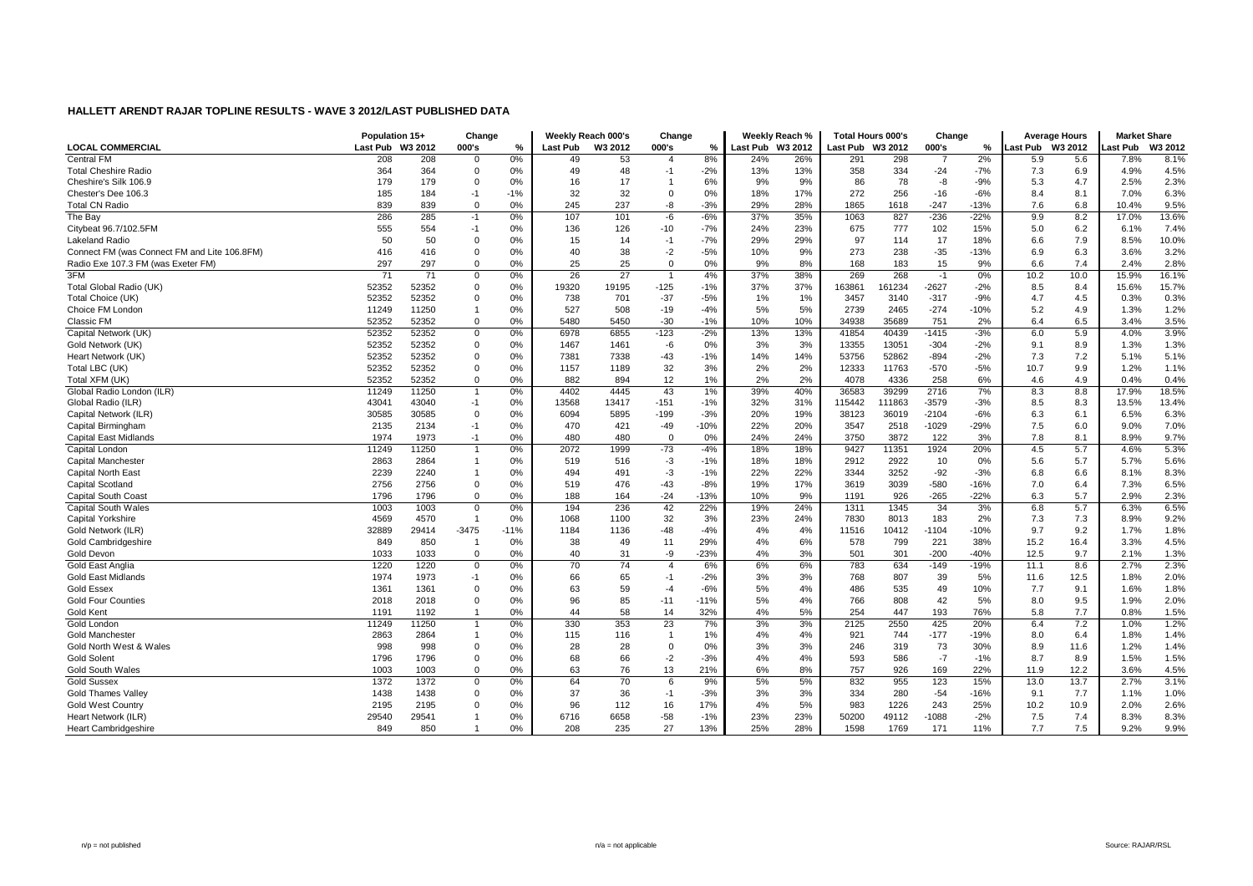|                                              | Population 15+   |       | Change         |        |                 | Weekly Reach 000's | Change         |        |                  | Weeklv Reach % | <b>Total Hours 000's</b> |         | Change  |        | <b>Average Hours</b> |         | <b>Market Share</b> |         |
|----------------------------------------------|------------------|-------|----------------|--------|-----------------|--------------------|----------------|--------|------------------|----------------|--------------------------|---------|---------|--------|----------------------|---------|---------------------|---------|
| <b>LOCAL COMMERCIAL</b>                      | Last Pub W3 2012 |       | 000's          | $\%$   | <b>Last Pub</b> | W3 2012            | 000's          | %      | Last Pub W3 2012 |                | Last Pub                 | W3 2012 | 000's   | ℅      | <b>Last Pub</b>      | W3 2012 | ast Pub             | W3 2012 |
| <b>Central FM</b>                            | 208              | 208   | $\mathbf 0$    | 0%     | 49              | 53                 | 4              | 8%     | 24%              | 26%            | 291                      | 298     | -7      | 2%     | 5.9                  | 5.6     | 7.8%                | 8.1%    |
| <b>Total Cheshire Radio</b>                  | 364              | 364   | $\Omega$       | 0%     | 49              | 48                 | $-1$           | $-2%$  | 13%              | 13%            | 358                      | 334     | $-24$   | $-7%$  | 7.3                  | 6.9     | 4.9%                | 4.5%    |
| Cheshire's Silk 106.9                        | 179              | 179   | $\Omega$       | 0%     | 16              | 17                 | -1             | 6%     | 9%               | 9%             | 86                       | 78      | -8      | $-9%$  | 5.3                  | 4.7     | 2.5%                | 2.3%    |
| Chester's Dee 106.3                          | 185              | 184   | $-1$           | $-1%$  | 32              | 32                 | $\Omega$       | 0%     | 18%              | 17%            | 272                      | 256     | $-16$   | $-6%$  | 8.4                  | 8.1     | 7.0%                | 6.3%    |
| <b>Total CN Radio</b>                        | 839              | 839   | $\Omega$       | 0%     | 245             | 237                | -8             | $-3%$  | 29%              | 28%            | 1865                     | 1618    | $-247$  | $-13%$ | 7.6                  | 6.8     | 10.4%               | 9.5%    |
| The Bay                                      | 286              | 285   | $-1$           | 0%     | 107             | 101                | -6             | $-6%$  | 37%              | 35%            | 1063                     | 827     | $-236$  | $-22%$ | 9.9                  | 8.2     | 17.0%               | 13.6%   |
| Citybeat 96.7/102.5FM                        | 555              | 554   | $-1$           | 0%     | 136             | 126                | $-10$          | $-7%$  | 24%              | 23%            | 675                      | 777     | 102     | 15%    | 5.0                  | 6.2     | 6.1%                | 7.4%    |
| Lakeland Radio                               | 50               | 50    | $\Omega$       | 0%     | 15              | 14                 | $-1$           | $-7%$  | 29%              | 29%            | 97                       | 114     | 17      | 18%    | 6.6                  | 7.9     | 8.5%                | 10.0%   |
| Connect FM (was Connect FM and Lite 106.8FM) | 416              | 416   | $\mathbf 0$    | 0%     | 40              | 38                 | $-2$           | $-5%$  | 10%              | 9%             | 273                      | 238     | $-35$   | $-13%$ | 6.9                  | 6.3     | 3.6%                | 3.2%    |
| Radio Exe 107.3 FM (was Exeter FM)           | 297              | 297   | $\mathbf 0$    | 0%     | 25              | 25                 | $\mathbf 0$    | 0%     | 9%               | 8%             | 168                      | 183     | 15      | 9%     | 6.6                  | 7.4     | 2.4%                | 2.8%    |
| 3FM                                          | 71               | 71    | 0              | 0%     | 26              | 27                 | -1             | 4%     | 37%              | 38%            | 269                      | 268     | $-1$    | 0%     | 10.2                 | 10.0    | 15.9%               | 16.1%   |
| Total Global Radio (UK)                      | 52352            | 52352 | 0              | 0%     | 19320           | 19195              | $-125$         | $-1%$  | 37%              | 37%            | 163861                   | 161234  | $-2627$ | $-2%$  | 8.5                  | 8.4     | 15.6%               | 15.7%   |
| Total Choice (UK)                            | 52352            | 52352 | 0              | 0%     | 738             | 701                | $-37$          | $-5%$  | 1%               | 1%             | 3457                     | 3140    | $-317$  | $-9%$  | 4.7                  | 4.5     | 0.3%                | 0.3%    |
| Choice FM London                             | 11249            | 11250 |                | 0%     | 527             | 508                | $-19$          | $-4%$  | 5%               | 5%             | 2739                     | 2465    | $-274$  | $-10%$ | 5.2                  | 4.9     | 1.3%                | 1.2%    |
| Classic FM                                   | 52352            | 52352 | $\Omega$       | 0%     | 5480            | 5450               | $-30$          | $-1%$  | 10%              | 10%            | 34938                    | 35689   | 751     | 2%     | 6.4                  | 6.5     | 3.4%                | 3.5%    |
| Capital Network (UK)                         | 52352            | 52352 | $\Omega$       | 0%     | 6978            | 6855               | $-123$         | $-2%$  | 13%              | 13%            | 41854                    | 40439   | $-1415$ | $-3%$  | 6.0                  | 5.9     | 4.0%                | 3.9%    |
| Gold Network (UK)                            | 52352            | 52352 | $\Omega$       | 0%     | 1467            | 1461               | -6             | 0%     | 3%               | 3%             | 13355                    | 13051   | $-304$  | $-2%$  | 9.1                  | 8.9     | 1.3%                | 1.3%    |
| Heart Network (UK)                           | 52352            | 52352 | 0              | 0%     | 7381            | 7338               | $-43$          | $-1%$  | 14%              | 14%            | 53756                    | 52862   | $-894$  | $-2%$  | 7.3                  | 7.2     | 5.1%                | 5.1%    |
| Total LBC (UK)                               | 52352            | 52352 | $\Omega$       | 0%     | 1157            | 1189               | 32             | 3%     | 2%               | 2%             | 12333                    | 11763   | $-570$  | $-5%$  | 10.7                 | 9.9     | 1.2%                | 1.1%    |
| Total XFM (UK)                               | 52352            | 52352 | $\Omega$       | 0%     | 882             | 894                | 12             | 1%     | 2%               | 2%             | 4078                     | 4336    | 258     | 6%     | 4.6                  | 4.9     | 0.4%                | 0.4%    |
| Global Radio London (ILR)                    | 11249            | 11250 | $\mathbf{1}$   | 0%     | 4402            | 4445               | 43             | 1%     | 39%              | 40%            | 36583                    | 39299   | 2716    | 7%     | 8.3                  | 8.8     | 17.9%               | 18.5%   |
| Global Radio (ILR)                           | 43041            | 43040 | $-1$           | 0%     | 13568           | 13417              | $-151$         | $-1%$  | 32%              | 31%            | 115442                   | 111863  | $-3579$ | $-3%$  | 8.5                  | 8.3     | 13.5%               | 13.4%   |
| Capital Network (ILR)                        | 30585            | 30585 | $\mathbf 0$    | 0%     | 6094            | 5895               | $-199$         | $-3%$  | 20%              | 19%            | 38123                    | 36019   | $-2104$ | $-6%$  | 6.3                  | 6.1     | 6.5%                | 6.3%    |
| Capital Birmingham                           | 2135             | 2134  | -1             | 0%     | 470             | 421                | $-49$          | $-10%$ | 22%              | 20%            | 3547                     | 2518    | $-1029$ | $-29%$ | 7.5                  | 6.0     | 9.0%                | 7.0%    |
| Capital East Midlands                        | 1974             | 1973  | -1             | 0%     | 480             | 480                | $\mathbf 0$    | 0%     | 24%              | 24%            | 3750                     | 3872    | 122     | 3%     | 7.8                  | 8.1     | 8.9%                | 9.7%    |
| Capital London                               | 11249            | 11250 |                | 0%     | 2072            | 1999               | $-73$          | $-4%$  | 18%              | 18%            | 9427                     | 11351   | 1924    | 20%    | 4.5                  | 5.7     | 4.6%                | 5.3%    |
| Capital Manchester                           | 2863             | 2864  | $\overline{1}$ | 0%     | 519             | 516                | $-3$           | $-1%$  | 18%              | 18%            | 2912                     | 2922    | 10      | $0\%$  | 5.6                  | 5.7     | 5.7%                | 5.6%    |
| Capital North East                           | 2239             | 2240  | -1             | 0%     | 494             | 491                | $-3$           | $-1%$  | 22%              | 22%            | 3344                     | 3252    | $-92$   | $-3%$  | 6.8                  | 6.6     | 8.1%                | 8.3%    |
| Capital Scotland                             | 2756             | 2756  | $\Omega$       | 0%     | 519             | 476                | $-43$          | $-8%$  | 19%              | 17%            | 3619                     | 3039    | $-580$  | $-16%$ | 7.0                  | 6.4     | 7.3%                | 6.5%    |
| <b>Capital South Coast</b>                   | 1796             | 1796  | $\mathbf 0$    | 0%     | 188             | 164                | $-24$          | $-13%$ | 10%              | 9%             | 1191                     | 926     | $-265$  | $-22%$ | 6.3                  | 5.7     | 2.9%                | 2.3%    |
| <b>Capital South Wales</b>                   | 1003             | 1003  | $\Omega$       | 0%     | 194             | 236                | 42             | 22%    | 19%              | 24%            | 1311                     | 1345    | 34      | 3%     | 6.8                  | 5.7     | 6.3%                | 6.5%    |
| Capital Yorkshire                            | 4569             | 4570  |                | 0%     | 1068            | 1100               | 32             | 3%     | 23%              | 24%            | 7830                     | 8013    | 183     | 2%     | 7.3                  | 7.3     | 8.9%                | 9.2%    |
| Gold Network (ILR)                           | 32889            | 29414 | $-3475$        | $-11%$ | 1184            | 1136               | $-48$          | $-4%$  | 4%               | 4%             | 11516                    | 10412   | $-1104$ | $-10%$ | 9.7                  | 9.2     | 1.7%                | 1.8%    |
| Gold Cambridgeshire                          | 849              | 850   |                | 0%     | 38              | 49                 | 11             | 29%    | 4%               | 6%             | 578                      | 799     | 221     | 38%    | 15.2                 | 16.4    | 3.3%                | 4.5%    |
| Gold Devon                                   | 1033             | 1033  | $\Omega$       | 0%     | 40              | 31                 | -9             | $-23%$ | 4%               | 3%             | 501                      | 301     | $-200$  | $-40%$ | 12.5                 | 9.7     | 2.1%                | 1.3%    |
| Gold East Anglia                             | 1220             | 1220  | $\Omega$       | 0%     | 70              | 74                 | $\overline{4}$ | 6%     | 6%               | 6%             | 783                      | 634     | $-149$  | $-19%$ | 11.1                 | 8.6     | 2.7%                | 2.3%    |
| <b>Gold East Midlands</b>                    | 1974             | 1973  | $-1$           | 0%     | 66              | 65                 | $-1$           | $-2%$  | 3%               | 3%             | 768                      | 807     | 39      | 5%     | 11.6                 | 12.5    | 1.8%                | 2.0%    |
| <b>Gold Essex</b>                            | 1361             | 1361  | $\mathbf 0$    | 0%     | 63              | 59                 | $-4$           | $-6%$  | 5%               | 4%             | 486                      | 535     | 49      | 10%    | 7.7                  | 9.1     | 1.6%                | 1.8%    |
| <b>Gold Four Counties</b>                    | 2018             | 2018  | $\mathbf 0$    | 0%     | 96              | 85                 | $-11$          | $-11%$ | 5%               | 4%             | 766                      | 808     | 42      | 5%     | 8.0                  | 9.5     | 1.9%                | 2.0%    |
| Gold Kent                                    | 1191             | 1192  |                | 0%     | 44              | 58                 | 14             | 32%    | 4%               | 5%             | 254                      | 447     | 193     | 76%    | 5.8                  | 7.7     | 0.8%                | 1.5%    |
| Gold London                                  | 11249            | 11250 |                | 0%     | 330             | 353                | 23             | 7%     | 3%               | 3%             | 2125                     | 2550    | 425     | 20%    | 6.4                  | 7.2     | 1.0%                | 1.2%    |
| <b>Gold Manchester</b>                       | 2863             | 2864  | -1             | 0%     | 115             | 116                | $\overline{1}$ | 1%     | 4%               | 4%             | 921                      | 744     | $-177$  | -19%   | 8.0                  | 6.4     | 1.8%                | 1.4%    |
| Gold North West & Wales                      | 998              | 998   | $\Omega$       | 0%     | 28              | 28                 | 0              | 0%     | 3%               | 3%             | 246                      | 319     | 73      | 30%    | 8.9                  | 11.6    | 1.2%                | 1.4%    |
| <b>Gold Solent</b>                           | 1796             | 1796  | $\mathbf 0$    | 0%     | 68              | 66                 | $-2$           | $-3%$  | 4%               | 4%             | 593                      | 586     | $-7$    | $-1%$  | 8.7                  | 8.9     | 1.5%                | 1.5%    |
| <b>Gold South Wales</b>                      | 1003             | 1003  | $\Omega$       | 0%     | 63              | 76                 | 13             | 21%    | 6%               | 8%             | 757                      | 926     | 169     | 22%    | 11.9                 | 12.2    | 3.6%                | 4.5%    |
| <b>Gold Sussex</b>                           | 1372             | 1372  | 0              | 0%     | 64              | 70                 | 6              | 9%     | 5%               | 5%             | 832                      | 955     | 123     | 15%    | 13.0                 | 13.7    | 2.7%                | 3.1%    |
| <b>Gold Thames Vallev</b>                    | 1438             | 1438  | 0              | 0%     | 37              | 36                 | $-1$           | $-3%$  | 3%               | 3%             | 334                      | 280     | $-54$   | $-16%$ | 9.1                  | 7.7     | 1.1%                | 1.0%    |
| <b>Gold West Country</b>                     | 2195             | 2195  | $\Omega$       | 0%     | 96              | 112                | 16             | 17%    | 4%               | 5%             | 983                      | 1226    | 243     | 25%    | 10.2                 | 10.9    | 2.0%                | 2.6%    |
| Heart Network (ILR)                          | 29540            | 29541 |                | 0%     | 6716            | 6658               | $-58$          | $-1%$  | 23%              | 23%            | 50200                    | 49112   | $-1088$ | $-2%$  | 7.5                  | 7.4     | 8.3%                | 8.3%    |
| <b>Heart Cambridgeshire</b>                  | 849              | 850   |                | 0%     | 208             | 235                | 27             | 13%    | 25%              | 28%            | 1598                     | 1769    | 171     | 11%    | 7.7                  | 7.5     | 9.2%                | 9.9%    |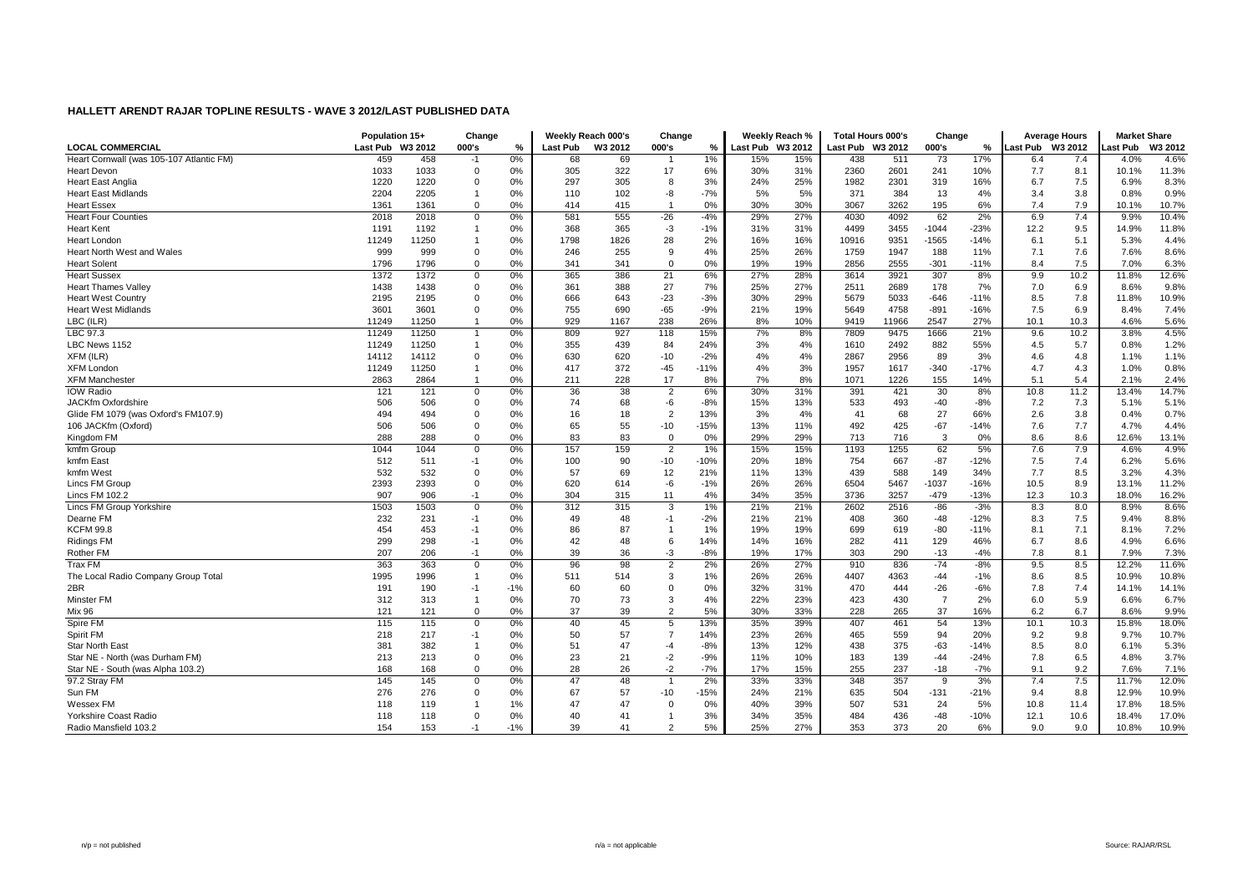|                                          | Population 15+   |       | Change         |       |          | Weekly Reach 000's | Change              |        |                  | Weekly Reach % | Total Hours 000's |       | Change         |        | <b>Average Hours</b> |      | <b>Market Share</b> |         |
|------------------------------------------|------------------|-------|----------------|-------|----------|--------------------|---------------------|--------|------------------|----------------|-------------------|-------|----------------|--------|----------------------|------|---------------------|---------|
| <b>LOCAL COMMERCIAL</b>                  | Last Pub W3 2012 |       | 000's          | %     | Last Pub | W3 2012            | 000's               | %      | Last Pub W3 2012 |                | Last Pub W3 2012  |       | 000's          | ℅      | Last Pub W3 2012     |      | ast Pub             | W3 2012 |
| Heart Cornwall (was 105-107 Atlantic FM) | 459              | 458   | $-1$           | 0%    | 68       | 69                 |                     | 1%     | 15%              | 15%            | 438               | 511   | 73             | 17%    | 6.4                  | 7.4  | 4.0%                | 4.6%    |
| <b>Heart Devon</b>                       | 1033             | 1033  | $\Omega$       | 0%    | 305      | 322                | 17                  | 6%     | 30%              | 31%            | 2360              | 2601  | 241            | 10%    | 7.7                  | 8.1  | 10.1%               | 11.3%   |
| <b>Heart East Anglia</b>                 | 1220             | 1220  | 0              | 0%    | 297      | 305                | 8                   | 3%     | 24%              | 25%            | 1982              | 2301  | 319            | 16%    | 6.7                  | 7.5  | 6.9%                | 8.3%    |
| <b>Heart East Midlands</b>               | 2204             | 2205  |                | 0%    | 110      | 102                | -8                  | $-7%$  | 5%               | 5%             | 371               | 384   | 13             | 4%     | 3.4                  | 3.8  | 0.8%                | 0.9%    |
| <b>Heart Essex</b>                       | 1361             | 1361  | $\Omega$       | 0%    | 414      | 415                | $\overline{1}$      | 0%     | 30%              | 30%            | 3067              | 3262  | 195            | 6%     | 7.4                  | 7.9  | 10.1%               | 10.7%   |
| <b>Heart Four Counties</b>               | 2018             | 2018  | $\mathbf 0$    | 0%    | 581      | 555                | $-26$               | $-4%$  | 29%              | 27%            | 4030              | 4092  | 62             | 2%     | 6.9                  | 7.4  | 9.9%                | 10.4%   |
| <b>Heart Kent</b>                        | 1191             | 1192  |                | 0%    | 368      | 365                | $-3$                | $-1%$  | 31%              | 31%            | 4499              | 3455  | $-1044$        | $-23%$ | 12.2                 | 9.5  | 14.9%               | 11.8%   |
| Heart London                             | 11249            | 11250 |                | 0%    | 1798     | 1826               | 28                  | 2%     | 16%              | 16%            | 10916             | 9351  | $-1565$        | $-14%$ | 6.1                  | 5.1  | 5.3%                | 4.4%    |
| Heart North West and Wales               | 999              | 999   | $\mathbf 0$    | 0%    | 246      | 255                | 9                   | 4%     | 25%              | 26%            | 1759              | 1947  | 188            | 11%    | 7.1                  | 7.6  | 7.6%                | 8.6%    |
| <b>Heart Solent</b>                      | 1796             | 1796  | $\mathbf 0$    | 0%    | 341      | 341                | $\mathbf 0$         | 0%     | 19%              | 19%            | 2856              | 2555  | $-301$         | $-11%$ | 8.4                  | 7.5  | 7.0%                | 6.3%    |
| <b>Heart Sussex</b>                      | 1372             | 1372  | $\mathbf 0$    | 0%    | 365      | 386                | 21                  | 6%     | 27%              | 28%            | 3614              | 3921  | 307            | 8%     | 9.9                  | 10.2 | 11.8%               | 12.6%   |
| <b>Heart Thames Valley</b>               | 1438             | 1438  | $\mathbf 0$    | 0%    | 361      | 388                | 27                  | 7%     | 25%              | 27%            | 2511              | 2689  | 178            | 7%     | 7.0                  | 6.9  | 8.6%                | 9.8%    |
| <b>Heart West Country</b>                | 2195             | 2195  | $\Omega$       | 0%    | 666      | 643                | $-23$               | $-3%$  | 30%              | 29%            | 5679              | 5033  | $-646$         | $-11%$ | 8.5                  | 7.8  | 11.8%               | 10.9%   |
| <b>Heart West Midlands</b>               | 3601             | 3601  | $\Omega$       | 0%    | 755      | 690                | $-65$               | $-9%$  | 21%              | 19%            | 5649              | 4758  | $-891$         | $-16%$ | 7.5                  | 6.9  | 8.4%                | 7.4%    |
| LBC (ILR)                                | 11249            | 11250 |                | 0%    | 929      | 1167               | 238                 | 26%    | 8%               | 10%            | 9419              | 11966 | 2547           | 27%    | 10.1                 | 10.3 | 4.6%                | 5.6%    |
| LBC 97.3                                 | 11249            | 11250 |                | 0%    | 809      | 927                | 118                 | 15%    | 7%               | 8%             | 7809              | 9475  | 1666           | 21%    | 9.6                  | 10.2 | 3.8%                | 4.5%    |
| LBC News 1152                            | 11249            | 11250 |                | 0%    | 355      | 439                | 84                  | 24%    | 3%               | 4%             | 1610              | 2492  | 882            | 55%    | 4.5                  | 5.7  | 0.8%                | 1.2%    |
| XFM (ILR)                                | 14112            | 14112 | $\Omega$       | 0%    | 630      | 620                | $-10$               | $-2%$  | 4%               | 4%             | 2867              | 2956  | 89             | 3%     | 4.6                  | 4.8  | 1.1%                | 1.1%    |
| <b>XFM London</b>                        | 11249            | 11250 |                | 0%    | 417      | 372                | $-45$               | $-11%$ | 4%               | 3%             | 1957              | 1617  | $-340$         | $-17%$ | 4.7                  | 4.3  | 1.0%                | 0.8%    |
| <b>XFM Manchester</b>                    | 2863             | 2864  |                | 0%    | 211      | 228                | 17                  | 8%     | 7%               | 8%             | 1071              | 1226  | 155            | 14%    | 5.1                  | 5.4  | 2.1%                | 2.4%    |
| <b>IOW Radio</b>                         | 121              | 121   | $\mathbf 0$    | 0%    | 36       | 38                 | $\overline{2}$      | 6%     | 30%              | 31%            | 391               | 421   | 30             | 8%     | 10.8                 | 11.2 | 13.4%               | 14.7%   |
| JACKfm Oxfordshire                       | 506              | 506   | $\Omega$       | 0%    | 74       | 68                 | -6                  | $-8%$  | 15%              | 13%            | 533               | 493   | $-40$          | $-8%$  | 7.2                  | 7.3  | 5.1%                | 5.1%    |
| Glide FM 1079 (was Oxford's FM107.9)     | 494              | 494   | $\mathbf 0$    | 0%    | 16       | 18                 | $\overline{2}$      | 13%    | 3%               | 4%             | 41                | 68    | 27             | 66%    | 2.6                  | 3.8  | 0.4%                | 0.7%    |
| 106 JACKfm (Oxford)                      | 506              | 506   | $\Omega$       | 0%    | 65       | 55                 | $-10$               | $-15%$ | 13%              | 11%            | 492               | 425   | $-67$          | $-14%$ | 7.6                  | 7.7  | 4.7%                | 4.4%    |
| Kingdom FM                               | 288              | 288   | $\mathbf 0$    | 0%    | 83       | 83                 | $\mathbf 0$         | 0%     | 29%              | 29%            | 713               | 716   | 3              | 0%     | 8.6                  | 8.6  | 12.6%               | 13.1%   |
| kmfm Group                               | 1044             | 1044  | $\mathbf 0$    | 0%    | 157      | 159                | $\overline{2}$      | 1%     | 15%              | 15%            | 1193              | 1255  | 62             | 5%     | 7.6                  | 7.9  | 4.6%                | 4.9%    |
| kmfm East                                | 512              | 511   | $-1$           | 0%    | 100      | 90                 | $-10$               | $-10%$ | 20%              | 18%            | 754               | 667   | $-87$          | $-12%$ | 7.5                  | 7.4  | 6.2%                | 5.6%    |
| kmfm West                                | 532              | 532   | $\mathbf 0$    | 0%    | 57       | 69                 | 12                  | 21%    | 11%              | 13%            | 439               | 588   | 149            | 34%    | 7.7                  | 8.5  | 3.2%                | 4.3%    |
| Lincs FM Group                           | 2393             | 2393  | $\mathbf 0$    | 0%    | 620      | 614                | -6                  | $-1%$  | 26%              | 26%            | 6504              | 5467  | $-1037$        | $-16%$ | 10.5                 | 8.9  | 13.1%               | 11.2%   |
| <b>Lincs FM 102.2</b>                    | 907              | 906   | $-1$           | 0%    | 304      | 315                | 11                  | 4%     | 34%              | 35%            | 3736              | 3257  | $-479$         | $-13%$ | 12.3                 | 10.3 | 18.0%               | 16.2%   |
| Lincs FM Group Yorkshire                 | 1503             | 1503  | $\mathbf 0$    | 0%    | 312      | 315                | 3                   | 1%     | 21%              | 21%            | 2602              | 2516  | $-86$          | $-3%$  | 8.3                  | 8.0  | 8.9%                | 8.6%    |
| Dearne FM                                | 232              | 231   | $-1$           | 0%    | 49       | 48                 | $-1$                | $-2%$  | 21%              | 21%            | 408               | 360   | $-48$          | $-12%$ | 8.3                  | 7.5  | 9.4%                | 8.8%    |
| <b>KCFM 99.8</b>                         | 454              | 453   | $-1$           | 0%    | 86       | 87                 | $\overline{1}$      | 1%     | 19%              | 19%            | 699               | 619   | $-80$          | $-11%$ | 8.1                  | 7.1  | 8.1%                | 7.2%    |
| <b>Ridings FM</b>                        | 299              | 298   | $-1$           | 0%    | 42       | 48                 | 6                   | 14%    | 14%              | 16%            | 282               | 411   | 129            | 46%    | 6.7                  | 8.6  | 4.9%                | 6.6%    |
| Rother FM                                | 207              | 206   | $-1$           | 0%    | 39       | 36                 | $-3$                | $-8%$  | 19%              | 17%            | 303               | 290   | $-13$          | $-4%$  | 7.8                  | 8.1  | 7.9%                | 7.3%    |
| <b>Trax FM</b>                           | 363              | 363   | $\Omega$       | 0%    | 96       | 98                 | $\overline{2}$      | 2%     | 26%              | 27%            | 910               | 836   | $-74$          | $-8%$  | 9.5                  | 8.5  | 12.2%               | 11.6%   |
| The Local Radio Company Group Total      | 1995             | 1996  | $\overline{1}$ | 0%    | 511      | 514                | 3                   | 1%     | 26%              | 26%            | 4407              | 4363  | $-44$          | $-1%$  | 8.6                  | 8.5  | 10.9%               | 10.8%   |
| 2BR                                      | 191              | 190   | -1             | $-1%$ | 60       | 60                 | 0                   | 0%     | 32%              | 31%            | 470               | 444   | $-26$          | $-6%$  | 7.8                  | 7.4  | 14.1%               | 14.1%   |
| Minster FM                               | 312              | 313   |                | 0%    | 70       | 73                 | 3                   | 4%     | 22%              | 23%            | 423               | 430   | $\overline{7}$ | 2%     | 6.0                  | 5.9  | 6.6%                | 6.7%    |
|                                          |                  |       |                |       |          |                    |                     |        |                  |                |                   |       |                |        |                      |      |                     |         |
| Mix 96                                   | 121              | 121   | $\mathbf 0$    | 0%    | 37       | 39                 | $\overline{2}$      | 5%     | 30%              | 33%            | 228               | 265   | 37             | 16%    | 6.2                  | 6.7  | 8.6%                | 9.9%    |
| Spire FM                                 | 115              | 115   | $\mathbf 0$    | 0%    | 40       | 45                 | 5<br>$\overline{7}$ | 13%    | 35%              | 39%            | 407               | 461   | 54             | 13%    | 10.1                 | 10.3 | 15.8%               | 18.0%   |
| Spirit FM                                | 218              | 217   | $-1$           | 0%    | 50       | 57                 |                     | 14%    | 23%              | 26%            | 465               | 559   | 94             | 20%    | 9.2                  | 9.8  | 9.7%                | 10.7%   |
| <b>Star North East</b>                   | 381              | 382   |                | 0%    | 51       | 47                 | $-4$                | $-8%$  | 13%              | 12%            | 438               | 375   | $-63$          | $-14%$ | 8.5                  | 8.0  | 6.1%                | 5.3%    |
| Star NE - North (was Durham FM)          | 213              | 213   | $\mathbf 0$    | 0%    | 23       | 21                 | $-2$                | $-9%$  | 11%              | 10%            | 183               | 139   | $-44$          | $-24%$ | 7.8                  | 6.5  | 4.8%                | 3.7%    |
| Star NE - South (was Alpha 103.2)        | 168              | 168   | $\Omega$       | 0%    | 28       | 26                 | $-2$                | $-7%$  | 17%              | 15%            | 255               | 237   | $-18$          | $-7%$  | 9.1                  | 9.2  | 7.6%                | 7.1%    |
| 97.2 Stray FM                            | 145              | 145   | $\Omega$       | 0%    | 47       | 48                 |                     | 2%     | 33%              | 33%            | 348               | 357   | 9              | 3%     | 7.4                  | 7.5  | 11.7%               | 12.0%   |
| Sun FM                                   | 276              | 276   | $\mathbf 0$    | 0%    | 67       | 57                 | $-10$               | $-15%$ | 24%              | 21%            | 635               | 504   | $-131$         | $-21%$ | 9.4                  | 8.8  | 12.9%               | 10.9%   |
| Wessex FM                                | 118              | 119   |                | 1%    | 47       | 47                 | 0                   | 0%     | 40%              | 39%            | 507               | 531   | 24             | 5%     | 10.8                 | 11.4 | 17.8%               | 18.5%   |
| Yorkshire Coast Radio                    | 118              | 118   | $\Omega$       | 0%    | 40       | 41                 | -1                  | 3%     | 34%              | 35%            | 484               | 436   | $-48$          | $-10%$ | 12.1                 | 10.6 | 18.4%               | 17.0%   |
| Radio Mansfield 103.2                    | 154              | 153   | $-1$           | $-1%$ | 39       | 41                 | $\overline{2}$      | 5%     | 25%              | 27%            | 353               | 373   | 20             | 6%     | 9.0                  | 9.0  | 10.8%               | 10.9%   |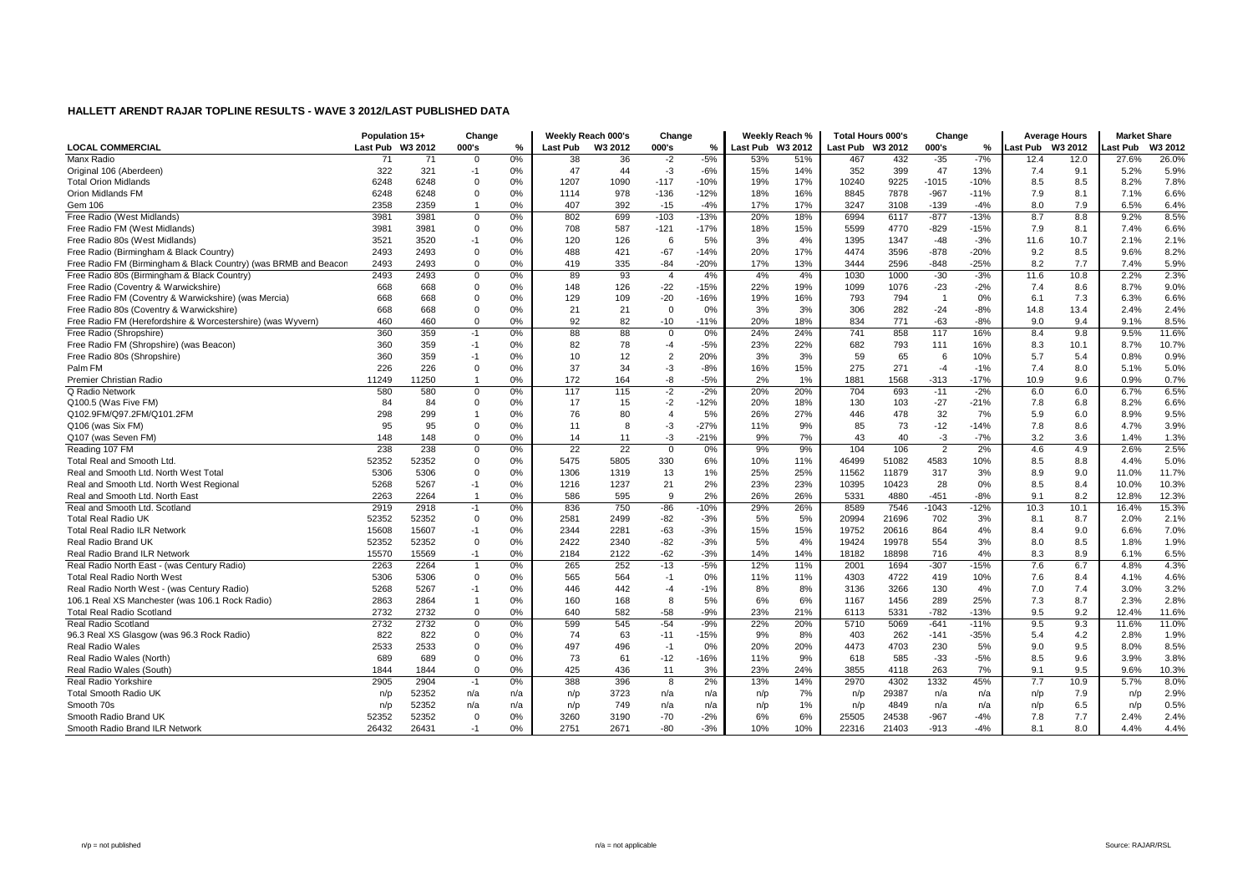|                                                                 | Population 15+   |       | Change         |     |          | Weekly Reach 000's | Change         |        |                  | Weekly Reach % | Total Hours 000's |       | Change         |        | <b>Average Hours</b> |      | <b>Market Share</b> |         |
|-----------------------------------------------------------------|------------------|-------|----------------|-----|----------|--------------------|----------------|--------|------------------|----------------|-------------------|-------|----------------|--------|----------------------|------|---------------------|---------|
| <b>LOCAL COMMERCIAL</b>                                         | Last Pub W3 2012 |       | 000's          | %   | Last Pub | W3 2012            | 000's          | %      | Last Pub W3 2012 |                | Last Pub W3 2012  |       | 000's          | %      | ast Pub W3 2012      |      | ast Pub             | W3 2012 |
| Manx Radio                                                      | 71               | 71    | $\mathbf 0$    | 0%  | 38       | 36                 | $-2$           | $-5%$  | 53%              | 51%            | 467               | 432   | $-35$          | $-7%$  | 12.4                 | 12.0 | 27.6%               | 26.0%   |
| Original 106 (Aberdeen)                                         | 322              | 321   | $-1$           | 0%  | 47       | 44                 | $-3$           | $-6%$  | 15%              | 14%            | 352               | 399   | 47             | 13%    | 7.4                  | 9.1  | 5.2%                | 5.9%    |
| <b>Total Orion Midlands</b>                                     | 6248             | 6248  | $\Omega$       | 0%  | 1207     | 1090               | $-117$         | $-10%$ | 19%              | 17%            | 10240             | 9225  | $-1015$        | $-10%$ | 8.5                  | 8.5  | 8.2%                | 7.8%    |
| Orion Midlands FM                                               | 6248             | 6248  | $\Omega$       | 0%  | 1114     | 978                | $-136$         | $-12%$ | 18%              | 16%            | 8845              | 7878  | $-967$         | $-11%$ | 7.9                  | 8.1  | 7.1%                | 6.6%    |
| Gem 106                                                         | 2358             | 2359  | $\mathbf{1}$   | 0%  | 407      | 392                | $-15$          | $-4%$  | 17%              | 17%            | 3247              | 3108  | $-139$         | $-4%$  | 8.0                  | 7.9  | 6.5%                | 6.4%    |
| Free Radio (West Midlands)                                      | 3981             | 3981  | $\mathbf 0$    | 0%  | 802      | 699                | $-103$         | $-13%$ | 20%              | 18%            | 6994              | 6117  | $-877$         | $-13%$ | 8.7                  | 8.8  | 9.2%                | 8.5%    |
| Free Radio FM (West Midlands)                                   | 3981             | 3981  | $\Omega$       | 0%  | 708      | 587                | $-121$         | $-17%$ | 18%              | 15%            | 5599              | 4770  | $-829$         | $-15%$ | 7.9                  | 8.1  | 7.4%                | 6.6%    |
| Free Radio 80s (West Midlands)                                  | 3521             | 3520  | $-1$           | 0%  | 120      | 126                | 6              | 5%     | 3%               | 4%             | 1395              | 1347  | $-48$          | $-3%$  | 11.6                 | 10.7 | 2.1%                | 2.1%    |
| Free Radio (Birmingham & Black Country)                         | 2493             | 2493  | $\Omega$       | 0%  | 488      | 421                | $-67$          | $-14%$ | 20%              | 17%            | 4474              | 3596  | $-878$         | $-20%$ | 9.2                  | 8.5  | 9.6%                | 8.2%    |
| Free Radio FM (Birmingham & Black Country) (was BRMB and Beacon | 2493             | 2493  | $\mathbf 0$    | 0%  | 419      | 335                | $-84$          | $-20%$ | 17%              | 13%            | 3444              | 2596  | $-848$         | $-25%$ | 8.2                  | 7.7  | 7.4%                | 5.9%    |
| Free Radio 80s (Birmingham & Black Country)                     | 2493             | 2493  | $\Omega$       | 0%  | 89       | 93                 | $\overline{4}$ | 4%     | 4%               | 4%             | 1030              | 1000  | $-30$          | $-3%$  | 11.6                 | 10.8 | 2.2%                | 2.3%    |
| Free Radio (Coventry & Warwickshire)                            | 668              | 668   | $\Omega$       | 0%  | 148      | 126                | $-22$          | $-15%$ | 22%              | 19%            | 1099              | 1076  | $-23$          | $-2%$  | 7.4                  | 8.6  | 8.7%                | 9.0%    |
| Free Radio FM (Coventry & Warwickshire) (was Mercia)            | 668              | 668   | $\Omega$       | 0%  | 129      | 109                | $-20$          | $-16%$ | 19%              | 16%            | 793               | 794   | $\overline{1}$ | 0%     | 6.1                  | 7.3  | 6.3%                | 6.6%    |
| Free Radio 80s (Coventry & Warwickshire)                        | 668              | 668   | $\Omega$       | 0%  | 21       | 21                 | $\Omega$       | 0%     | 3%               | 3%             | 306               | 282   | $-24$          | $-8%$  | 14.8                 | 13.4 | 2.4%                | 2.4%    |
| Free Radio FM (Herefordshire & Worcestershire) (was Wyvern)     | 460              | 460   | $\Omega$       | 0%  | 92       | 82                 | $-10$          | $-11%$ | 20%              | 18%            | 834               | 771   | $-63$          | $-8%$  | 9.0                  | 9.4  | 9.1%                | 8.5%    |
| Free Radio (Shropshire)                                         | 360              | 359   | $-1$           | 0%  | 88       | 88                 | $\mathbf 0$    | 0%     | 24%              | 24%            | 741               | 858   | 117            | 16%    | 8.4                  | 9.8  | 9.5%                | 11.6%   |
| Free Radio FM (Shropshire) (was Beacon)                         | 360              | 359   | $-1$           | 0%  | 82       | 78                 | $-4$           | $-5%$  | 23%              | 22%            | 682               | 793   | 111            | 16%    | 8.3                  | 10.1 | 8.7%                | 10.7%   |
| Free Radio 80s (Shropshire)                                     | 360              | 359   | $-1$           | 0%  | 10       | 12                 | $\overline{2}$ | 20%    | 3%               | 3%             | 59                | 65    | 6              | 10%    | 5.7                  | 5.4  | 0.8%                | 0.9%    |
| Palm FM                                                         | 226              | 226   | $\Omega$       | 0%  | 37       | 34                 | $-3$           | $-8%$  | 16%              | 15%            | 275               | 271   | $-4$           | $-1%$  | 7.4                  | 8.0  | 5.1%                | 5.0%    |
| Premier Christian Radio                                         | 11249            | 11250 | $\overline{1}$ | 0%  | 172      | 164                | -8             | $-5%$  | 2%               | 1%             | 1881              | 1568  | $-313$         | $-17%$ | 10.9                 | 9.6  | 0.9%                | 0.7%    |
| Q Radio Network                                                 | 580              | 580   | $\Omega$       | 0%  | 117      | 115                | $-2$           | $-2%$  | 20%              | 20%            | 704               | 693   | $-11$          | $-2%$  | 6.0                  | 6.0  | 6.7%                | 6.5%    |
| Q100.5 (Was Five FM)                                            | 84               | 84    | $\Omega$       | 0%  | 17       | 15                 | $-2$           | $-12%$ | 20%              | 18%            | 130               | 103   | $-27$          | $-21%$ | 7.8                  | 6.8  | 8.2%                | 6.6%    |
| Q102.9FM/Q97.2FM/Q101.2FM                                       | 298              | 299   |                | 0%  | 76       | 80                 | $\overline{4}$ | 5%     | 26%              | 27%            | 446               | 478   | 32             | 7%     | 5.9                  | 6.0  | 8.9%                | 9.5%    |
| Q106 (was Six FM)                                               | 95               | 95    | $\Omega$       | 0%  | 11       | 8                  | $-3$           | $-27%$ | 11%              | 9%             | 85                | 73    | $-12$          | $-14%$ | 7.8                  | 8.6  | 4.7%                | 3.9%    |
| Q107 (was Seven FM)                                             | 148              | 148   | $\mathbf 0$    | 0%  | 14       | 11                 | $-3$           | $-21%$ | 9%               | 7%             | 43                | 40    | $-3$           | $-7%$  | 3.2                  | 3.6  | 1.4%                | 1.3%    |
| Reading 107 FM                                                  | 238              | 238   | $\Omega$       | 0%  | 22       | 22                 | $^{\circ}$     | 0%     | 9%               | 9%             | 104               | 106   | $\overline{2}$ | 2%     | 4.6                  | 4.9  | 2.6%                | 2.5%    |
| Total Real and Smooth Ltd.                                      | 52352            | 52352 | $\Omega$       | 0%  | 5475     | 5805               | 330            | 6%     | 10%              | 11%            | 46499             | 51082 | 4583           | 10%    | 8.5                  | 8.8  | 4.4%                | 5.0%    |
| Real and Smooth Ltd. North West Total                           | 5306             | 5306  | $\Omega$       | 0%  | 1306     | 1319               | 13             | 1%     | 25%              | 25%            | 11562             | 11879 | 317            | 3%     | 8.9                  | 9.0  | 11.0%               | 11.7%   |
| Real and Smooth Ltd. North West Regional                        | 5268             | 5267  | $-1$           | 0%  | 1216     | 1237               | 21             | 2%     | 23%              | 23%            | 10395             | 10423 | 28             | 0%     | 8.5                  | 8.4  | 10.0%               | 10.3%   |
| Real and Smooth Ltd. North East                                 | 2263             | 2264  |                | 0%  | 586      | 595                | 9              | 2%     | 26%              | 26%            | 5331              | 4880  | $-451$         | $-8%$  | 9.1                  | 8.2  | 12.8%               | 12.3%   |
| Real and Smooth Ltd. Scotland                                   | 2919             | 2918  | $-1$           | 0%  | 836      | 750                | $-86$          | $-10%$ | 29%              | 26%            | 8589              | 7546  | $-1043$        | $-12%$ | 10.3                 | 10.1 | 16.4%               | 15.3%   |
| <b>Total Real Radio UK</b>                                      | 52352            | 52352 | $\Omega$       | 0%  | 2581     | 2499               | $-82$          | $-3%$  | 5%               | 5%             | 20994             | 21696 | 702            | 3%     | 8.1                  | 8.7  | 2.0%                | 2.1%    |
| <b>Total Real Radio ILR Network</b>                             | 15608            | 15607 | $-1$           | 0%  | 2344     | 2281               | $-63$          | $-3%$  | 15%              | 15%            | 19752             | 20616 | 864            | 4%     | 8.4                  | 9.0  | 6.6%                | 7.0%    |
| Real Radio Brand UK                                             | 52352            | 52352 | $\Omega$       | 0%  | 2422     | 2340               | $-82$          | $-3%$  | 5%               | 4%             | 19424             | 19978 | 554            | 3%     | 8.0                  | 8.5  | 1.8%                | 1.9%    |
| Real Radio Brand ILR Network                                    | 15570            | 15569 | $-1$           | 0%  | 2184     | 2122               | $-62$          | $-3%$  | 14%              | 14%            | 18182             | 18898 | 716            | 4%     | 8.3                  | 8.9  | 6.1%                | 6.5%    |
| Real Radio North East - (was Century Radio)                     | 2263             | 2264  |                | 0%  | 265      | 252                | $-13$          | $-5%$  | 12%              | 11%            | 2001              | 1694  | $-307$         | $-15%$ | 7.6                  | 6.7  | 4.8%                | 4.3%    |
| <b>Total Real Radio North West</b>                              | 5306             | 5306  | $\Omega$       | 0%  | 565      | 564                | $-1$           | 0%     | 11%              | 11%            | 4303              | 4722  | 419            | 10%    | 7.6                  | 8.4  | 4.1%                | 4.6%    |
| Real Radio North West - (was Century Radio)                     | 5268             | 5267  | $-1$           | 0%  | 446      | 442                | $-4$           | $-1%$  | 8%               | 8%             | 3136              | 3266  | 130            | 4%     | 7.0                  | 7.4  | 3.0%                | 3.2%    |
| 106.1 Real XS Manchester (was 106.1 Rock Radio)                 | 2863             | 2864  | $\overline{1}$ | 0%  | 160      | 168                | 8              | 5%     | 6%               | 6%             | 1167              | 1456  | 289            | 25%    | 7.3                  | 8.7  | 2.3%                | 2.8%    |
| <b>Total Real Radio Scotland</b>                                | 2732             | 2732  | $\mathbf 0$    | 0%  | 640      | 582                | $-58$          | $-9%$  | 23%              | 21%            | 6113              | 5331  | $-782$         | $-13%$ | 9.5                  | 9.2  | 12.4%               | 11.6%   |
| <b>Real Radio Scotland</b>                                      | 2732             | 2732  | $\mathbf 0$    | 0%  | 599      | 545                | $-54$          | $-9%$  | 22%              | 20%            | 5710              | 5069  | $-641$         | $-11%$ | 9.5                  | 9.3  | 11.6%               | 11.0%   |
| 96.3 Real XS Glasgow (was 96.3 Rock Radio)                      | 822              | 822   | $\Omega$       | 0%  | 74       | 63                 | $-11$          | $-15%$ | 9%               | 8%             | 403               | 262   | $-141$         | $-35%$ | 5.4                  | 4.2  | 2.8%                | 1.9%    |
| <b>Real Radio Wales</b>                                         | 2533             | 2533  | $\Omega$       | 0%  | 497      | 496                | $-1$           | 0%     | 20%              | 20%            | 4473              | 4703  | 230            | 5%     | 9.0                  | 9.5  | 8.0%                | 8.5%    |
| Real Radio Wales (North)                                        | 689              | 689   | $\Omega$       | 0%  | 73       | 61                 | $-12$          | $-16%$ | 11%              | 9%             | 618               | 585   | $-33$          | $-5%$  | 8.5                  | 9.6  | 3.9%                | 3.8%    |
| Real Radio Wales (South)                                        | 1844             | 1844  | $\mathbf 0$    | 0%  | 425      | 436                | 11             | 3%     | 23%              | 24%            | 3855              | 4118  | 263            | 7%     | 9.1                  | 9.5  | 9.6%                | 10.3%   |
| Real Radio Yorkshire                                            | 2905             | 2904  | $-1$           | 0%  | 388      | 396                | 8              | 2%     | 13%              | 14%            | 2970              | 4302  | 1332           | 45%    | 7.7                  | 10.9 | 5.7%                | 8.0%    |
| <b>Total Smooth Radio UK</b>                                    | n/p              | 52352 | n/a            | n/a | n/p      | 3723               | n/a            | n/a    | n/p              | 7%             | n/p               | 29387 | n/a            | n/a    | n/p                  | 7.9  | n/p                 | 2.9%    |
| Smooth 70s                                                      | n/p              | 52352 | n/a            | n/a | n/p      | 749                | n/a            | n/a    | n/p              | 1%             | n/p               | 4849  | n/a            | n/a    | n/p                  | 6.5  | n/p                 | 0.5%    |
| Smooth Radio Brand UK                                           | 52352            | 52352 | $\Omega$       | 0%  | 3260     | 3190               | $-70$          | $-2%$  | 6%               | 6%             | 25505             | 24538 | $-967$         | $-4%$  | 7.8                  | 7.7  | 2.4%                | 2.4%    |
| Smooth Radio Brand ILR Network                                  | 26432            | 26431 | $-1$           | 0%  | 2751     | 2671               | $-80$          | $-3%$  | 10%              | 10%            | 22316             | 21403 | $-913$         | $-4%$  | 8.1                  | 8.0  | 4.4%                | 4.4%    |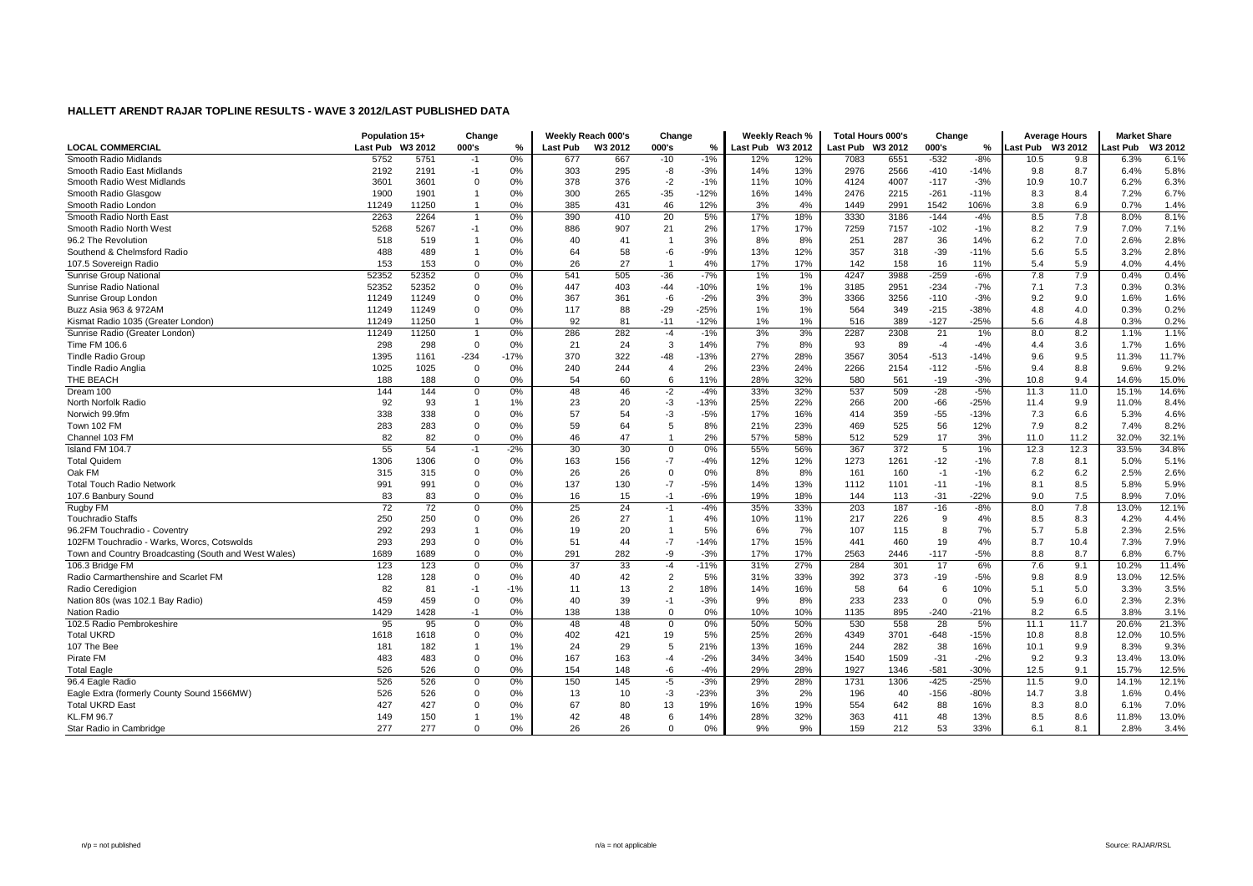|                                                      | Population 15+  |         | Change       |        |                 | Weekly Reach 000's | Change         |        |                  | Weekly Reach % |                  | Total Hours 000's | Change   |        |                 | <b>Average Hours</b> | <b>Market Share</b> |         |
|------------------------------------------------------|-----------------|---------|--------------|--------|-----------------|--------------------|----------------|--------|------------------|----------------|------------------|-------------------|----------|--------|-----------------|----------------------|---------------------|---------|
| <b>LOCAL COMMERCIAL</b>                              | Last Pub        | W3 2012 | 000's        | $\%$   | <b>Last Pub</b> | W3 2012            | 000's          | %      | Last Pub W3 2012 |                | Last Pub W3 2012 |                   | 000's    | %      | <b>Last Pub</b> | W3 2012              | ast Pub             | W3 2012 |
| Smooth Radio Midlands                                | 5752            | 5751    | -1           | 0%     | 677             | 667                | $-10$          | $-1%$  | 12%              | 12%            | 7083             | 6551              | $-532$   | $-8%$  | 10.5            | 9.8                  | 6.3%                | 6.1%    |
| Smooth Radio East Midlands                           | 2192            | 2191    | $-1$         | 0%     | 303             | 295                | -8             | $-3%$  | 14%              | 13%            | 2976             | 2566              | $-410$   | $-14%$ | 9.8             | 8.7                  | 6.4%                | 5.8%    |
| Smooth Radio West Midlands                           | 3601            | 3601    | 0            | 0%     | 378             | 376                | $-2$           | $-1%$  | 11%              | 10%            | 4124             | 4007              | $-117$   | $-3%$  | 10.9            | 10.7                 | 6.2%                | 6.3%    |
| Smooth Radio Glasgow                                 | 1900            | 1901    |              | 0%     | 300             | 265                | $-35$          | $-12%$ | 16%              | 14%            | 2476             | 2215              | $-261$   | $-11%$ | 8.3             | 8.4                  | 7.2%                | 6.7%    |
| Smooth Radio London                                  | 11249           | 11250   |              | 0%     | 385             | 431                | 46             | 12%    | 3%               | 4%             | 1449             | 2991              | 1542     | 106%   | 3.8             | 6.9                  | 0.7%                | 1.4%    |
| Smooth Radio North East                              | 2263            | 2264    |              | 0%     | 390             | 410                | 20             | 5%     | 17%              | 18%            | 3330             | 3186              | $-144$   | $-4%$  | 8.5             | 7.8                  | 8.0%                | 8.1%    |
| Smooth Radio North West                              | 5268            | 5267    | $-1$         | 0%     | 886             | 907                | 21             | 2%     | 17%              | 17%            | 7259             | 7157              | $-102$   | $-1%$  | 8.2             | 7.9                  | 7.0%                | 7.1%    |
| 96.2 The Revolution                                  | 518             | 519     | $\mathbf 1$  | 0%     | 40              | 41                 | -1             | 3%     | 8%               | 8%             | 251              | 287               | 36       | 14%    | 6.2             | 7.0                  | 2.6%                | 2.8%    |
| Southend & Chelmsford Radio                          | 488             | 489     | -1           | 0%     | 64              | 58                 | -6             | $-9%$  | 13%              | 12%            | 357              | 318               | $-39$    | $-11%$ | 5.6             | 5.5                  | 3.2%                | 2.8%    |
| 107.5 Sovereign Radio                                | 153             | 153     | $\Omega$     | 0%     | 26              | 27                 | $\overline{1}$ | 4%     | 17%              | 17%            | 142              | 158               | 16       | 11%    | 5.4             | 5.9                  | 4.0%                | 4.4%    |
| Sunrise Group Nationa                                | 52352           | 52352   | $\mathbf 0$  | 0%     | 541             | 505                | $-36$          | $-7%$  | 1%               | 1%             | 4247             | 3988              | $-259$   | $-6%$  | 7.8             | 7.9                  | 0.4%                | 0.4%    |
| Sunrise Radio National                               | 52352           | 52352   | $\mathbf 0$  | 0%     | 447             | 403                | $-44$          | $-10%$ | 1%               | 1%             | 3185             | 2951              | $-234$   | $-7%$  | 7.1             | 7.3                  | 0.3%                | 0.3%    |
| Sunrise Group London                                 | 11249           | 11249   | 0            | 0%     | 367             | 361                | -6             | $-2%$  | 3%               | 3%             | 3366             | 3256              | $-110$   | $-3%$  | 9.2             | 9.0                  | 1.6%                | 1.6%    |
| Buzz Asia 963 & 972AM                                | 11249           | 11249   | $\Omega$     | 0%     | 117             | 88                 | $-29$          | $-25%$ | 1%               | 1%             | 564              | 349               | $-215$   | $-38%$ | 4.8             | 4.0                  | 0.3%                | 0.2%    |
| Kismat Radio 1035 (Greater London)                   | 11249           | 11250   |              | 0%     | 92              | 81                 | $-11$          | $-12%$ | 1%               | 1%             | 516              | 389               | $-127$   | $-25%$ | 5.6             | 4.8                  | 0.3%                | 0.2%    |
| Sunrise Radio (Greater London)                       | 11249           | 11250   |              | 0%     | 286             | 282                | $-4$           | $-1%$  | 3%               | 3%             | 2287             | 2308              | 21       | $1\%$  | 8.0             | 8.2                  | 1.1%                | 1.1%    |
| Time FM 106.6                                        | 298             | 298     | $\Omega$     | 0%     | 21              | 24                 | 3              | 14%    | 7%               | 8%             | 93               | 89                | $-4$     | $-4%$  | 4.4             | 3.6                  | 1.7%                | 1.6%    |
| <b>Tindle Radio Group</b>                            | 1395            | 1161    | $-234$       | $-17%$ | 370             | 322                | -48            | $-13%$ | 27%              | 28%            | 3567             | 3054              | $-513$   | $-14%$ | 9.6             | 9.5                  | 11.3%               | 11.7%   |
| <b>Tindle Radio Anglia</b>                           | 1025            | 1025    | $\mathbf 0$  | 0%     | 240             | 244                | $\overline{4}$ | 2%     | 23%              | 24%            | 2266             | 2154              | $-112$   | $-5%$  | 9.4             | 8.8                  | 9.6%                | 9.2%    |
| THE BEACH                                            | 188             | 188     | $\Omega$     | 0%     | 54              | 60                 | 6              | 11%    | 28%              | 32%            | 580              | 561               | $-19$    | $-3%$  | 10.8            | 9.4                  | 14.6%               | 15.0%   |
| Dream 100                                            | 144             | 144     | $\Omega$     | 0%     | 48              | 46                 | $-2$           | $-4%$  | 33%              | 32%            | 537              | 509               | $-28$    | $-5%$  | 11.3            | 11.0                 | 15.1%               | 14.6%   |
| North Norfolk Radio                                  | 92              | 93      | $\mathbf{1}$ | 1%     | 23              | 20                 | $-3$           | $-13%$ | 25%              | 22%            | 266              | 200               | $-66$    | $-25%$ | 11.4            | 9.9                  | 11.0%               | 8.4%    |
| Norwich 99.9fm                                       | 338             | 338     | $\Omega$     | 0%     | 57              | 54                 | $-3$           | $-5%$  | 17%              | 16%            | 414              | 359               | $-55$    | $-13%$ | 7.3             | 6.6                  | 5.3%                | 4.6%    |
| Town 102 FM                                          | 283             | 283     | 0            | 0%     | 59              | 64                 | 5              | 8%     | 21%              | 23%            | 469              | 525               | 56       | 12%    | 7.9             | 8.2                  | 7.4%                | 8.2%    |
| Channel 103 FM                                       | 82              | 82      | $\mathbf 0$  | 0%     | 46              | 47                 | -1             | 2%     | 57%              | 58%            | 512              | 529               | 17       | 3%     | 11.0            | 11.2                 | 32.0%               | 32.1%   |
| Island FM 104.7                                      | 55              | 54      | $-1$         | $-2%$  | 30              | 30                 | 0              | 0%     | 55%              | 56%            | 367              | 372               | 5        | 1%     | 12.3            | 12.3                 | 33.5%               | 34.8%   |
| <b>Total Quidem</b>                                  | 1306            | 1306    | $\Omega$     | 0%     | 163             | 156                | $-7$           | $-4%$  | 12%              | 12%            | 1273             | 1261              | $-12$    | $-1%$  | 7.8             | 8.1                  | 5.0%                | 5.1%    |
| Oak FM                                               | 315             | 315     | $\Omega$     | 0%     | 26              | 26                 | $\Omega$       | 0%     | 8%               | 8%             | 161              | 160               | $-1$     | $-1%$  | 6.2             | 6.2                  | 2.5%                | 2.6%    |
| <b>Total Touch Radio Network</b>                     | 991             | 991     | $\Omega$     | 0%     | 137             | 130                | $-7$           | $-5%$  | 14%              | 13%            | 1112             | 1101              | $-11$    | $-1%$  | 8.1             | 8.5                  | 5.8%                | 5.9%    |
| 107.6 Banbury Sound                                  | 83              | 83      | $\Omega$     | 0%     | 16              | 15                 | $-1$           | $-6%$  | 19%              | 18%            | 144              | 113               | $-31$    | $-22%$ | 9.0             | 7.5                  | 8.9%                | 7.0%    |
| Rugby FM                                             | $\overline{72}$ | 72      | $\Omega$     | 0%     | 25              | 24                 | $-1$           | $-4%$  | 35%              | 33%            | 203              | 187               | $-16$    | $-8%$  | 8.0             | 7.8                  | 13.0%               | 12.1%   |
| <b>Touchradio Staffs</b>                             | 250             | 250     | $\mathbf 0$  | 0%     | 26              | 27                 | $\mathbf{1}$   | 4%     | 10%              | 11%            | 217              | 226               | 9        | 4%     | 8.5             | 8.3                  | 4.2%                | 4.4%    |
| 96.2FM Touchradio - Coventry                         | 292             | 293     |              | 0%     | 19              | 20                 | -1             | 5%     | 6%               | 7%             | 107              | 115               | 8        | 7%     | 5.7             | 5.8                  | 2.3%                | 2.5%    |
| 102FM Touchradio - Warks, Worcs, Cotswolds           | 293             | 293     | $\mathbf 0$  | 0%     | 51              | 44                 | $-7$           | $-14%$ | 17%              | 15%            | 441              | 460               | 19       | 4%     | 8.7             | 10.4                 | 7.3%                | 7.9%    |
| Town and Country Broadcasting (South and West Wales) | 1689            | 1689    | $\Omega$     | 0%     | 291             | 282                | -9             | $-3%$  | 17%              | 17%            | 2563             | 2446              | $-117$   | $-5%$  | 8.8             | 8.7                  | 6.8%                | 6.7%    |
| 106.3 Bridge FM                                      | 123             | 123     | $\mathbf 0$  | 0%     | 37              | 33                 | $-4$           | $-11%$ | 31%              | 27%            | 284              | 301               | 17       | 6%     | 7.6             | 9.1                  | 10.2%               | 11.4%   |
| Radio Carmarthenshire and Scarlet FM                 | 128             | 128     | $\Omega$     | 0%     | 40              | 42                 | $\overline{2}$ | 5%     | 31%              | 33%            | 392              | 373               | $-19$    | $-5%$  | 9.8             | 8.9                  | 13.0%               | 12.5%   |
| Radio Ceredigion                                     | 82              | 81      | $-1$         | $-1%$  | 11              | 13                 | $\overline{2}$ | 18%    | 14%              | 16%            | 58               | 64                | 6        | 10%    | 5.1             | 5.0                  | 3.3%                | 3.5%    |
| Nation 80s (was 102.1 Bay Radio)                     | 459             | 459     | $\Omega$     | 0%     | 40              | 39                 | $-1$           | $-3%$  | 9%               | 8%             | 233              | 233               | $\Omega$ | 0%     | 5.9             | 6.0                  | 2.3%                | 2.3%    |
| Nation Radio                                         | 1429            | 1428    | $-1$         | 0%     | 138             | 138                | $\mathbf 0$    | 0%     | 10%              | 10%            | 1135             | 895               | $-240$   | $-21%$ | 8.2             | 6.5                  | 3.8%                | 3.1%    |
| 102.5 Radio Pembrokeshire                            | 95              | 95      | $\mathbf 0$  | 0%     | 48              | 48                 | $\mathbf 0$    | 0%     | 50%              | 50%            | 530              | 558               | 28       | 5%     | 11.1            | 11.7                 | 20.6%               | 21.3%   |
| <b>Total UKRD</b>                                    | 1618            | 1618    | $\Omega$     | 0%     | 402             | 421                | 19             | 5%     | 25%              | 26%            | 4349             | 3701              | $-648$   | $-15%$ | 10.8            | 8.8                  | 12.0%               | 10.5%   |
| 107 The Bee                                          | 181             | 182     |              | 1%     | 24              | 29                 | 5              | 21%    | 13%              | 16%            | 244              | 282               | 38       | 16%    | 10.1            | 9.9                  | 8.3%                | 9.3%    |
| Pirate FM                                            | 483             | 483     | $\Omega$     | 0%     | 167             | 163                | $-4$           | $-2%$  | 34%              | 34%            | 1540             | 1509              | $-31$    | $-2%$  | 9.2             | 9.3                  | 13.4%               | 13.0%   |
| <b>Total Eagle</b>                                   | 526             | 526     | $\Omega$     | 0%     | 154             | 148                | -6             | $-4%$  | 29%              | 28%            | 1927             | 1346              | $-581$   | $-30%$ | 12.5            | 9.1                  | 15.7%               | 12.5%   |
| 96.4 Eagle Radio                                     | 526             | 526     | 0            | 0%     | 150             | 145                | -5             | $-3%$  | 29%              | 28%            | 1731             | 1306              | $-425$   | $-25%$ | 11.5            | 9.0                  | 14.1%               | 12.1%   |
| Eagle Extra (formerly County Sound 1566MW)           | 526             | 526     | $\Omega$     | 0%     | 13              | 10                 | $-3$           | $-23%$ | 3%               | 2%             | 196              | 40                | $-156$   | $-80%$ | 14.7            | 3.8                  | 1.6%                | 0.4%    |
| <b>Total UKRD East</b>                               | 427             | 427     | $\Omega$     | 0%     | 67              | 80                 | 13             | 19%    | 16%              | 19%            | 554              | 642               | 88       | 16%    | 8.3             | 8.0                  | 6.1%                | 7.0%    |
| <b>KL.FM 96.7</b>                                    | 149             | 150     |              | 1%     | 42              | 48                 | 6              | 14%    | 28%              | 32%            | 363              | 411               | 48       | 13%    | 8.5             | 8.6                  | 11.8%               | 13.0%   |
| Star Radio in Cambridge                              | 277             | 277     | $\Omega$     | 0%     | 26              | 26                 | $\Omega$       | 0%     | 9%               | 9%             | 159              | 212               | 53       | 33%    | 6.1             | 8.1                  | 2.8%                | 3.4%    |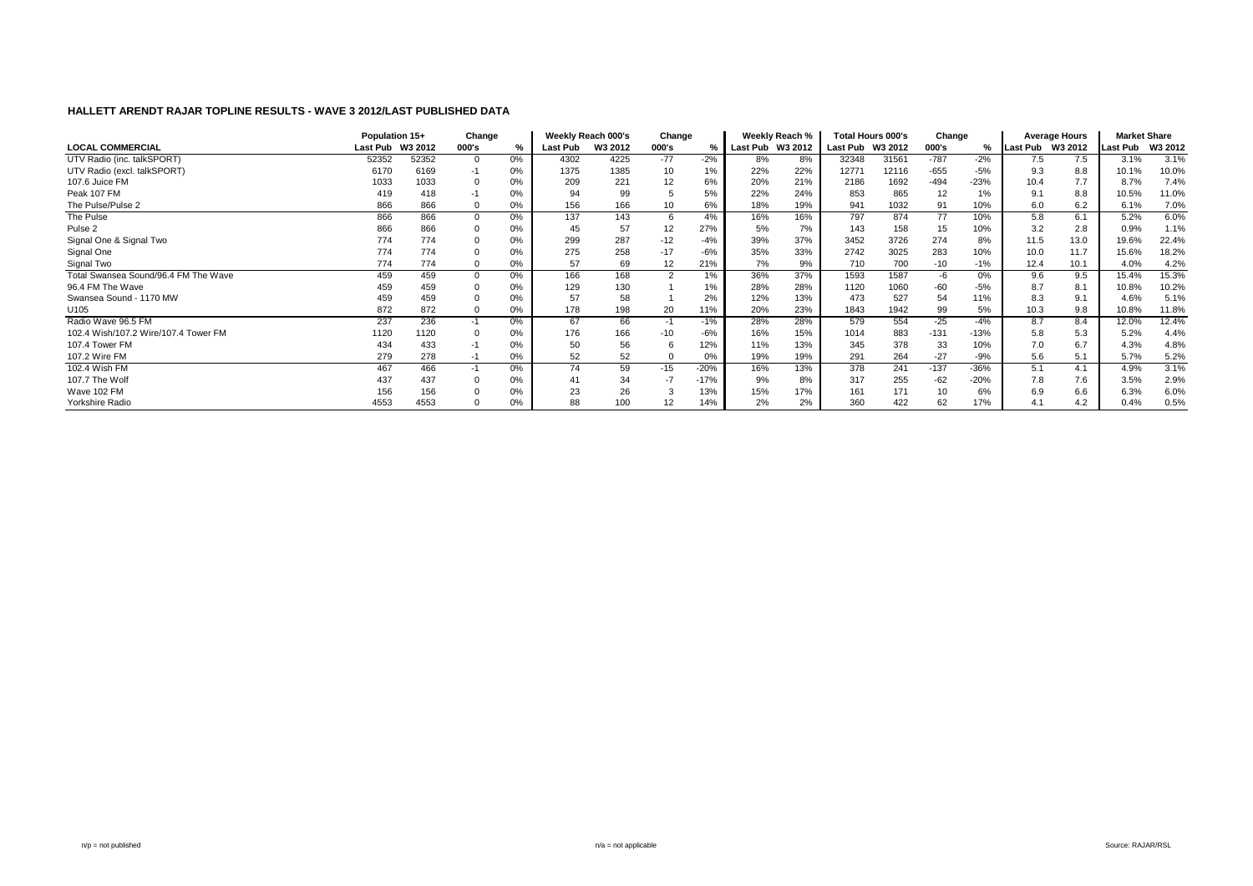|                                      | Population 15+ |         | Change |       |                 | Weekly Reach 000's | Change |        |                 | Weekly Reach % |          | <b>Total Hours 000's</b> | Change |        |                  | <b>Average Hours</b> | <b>Market Share</b> |         |
|--------------------------------------|----------------|---------|--------|-------|-----------------|--------------------|--------|--------|-----------------|----------------|----------|--------------------------|--------|--------|------------------|----------------------|---------------------|---------|
| <b>LOCAL COMMERCIAL</b>              | Last Pub       | W3 2012 | 000's  | %     | <b>Last Pub</b> | W3 2012            | 000's  |        | <b>Last Pub</b> | W3 2012        | Last Pub | W3 2012                  | 000's  | %      | Last Pub W3 2012 |                      | <b>Last Pub</b>     | W3 2012 |
| UTV Radio (inc. talkSPORT)           | 52352          | 52352   |        | 0%    | 4302            | 4225               | $-77$  | $-2%$  | 8%              | 8%             | 32348    | 31561                    | $-787$ | $-2%$  | 7.5              | 7.5                  | 3.1%                | 3.1%    |
| UTV Radio (excl. talkSPORT)          | 6170           | 6169    |        | 0%    | 1375            | 1385               | 10     | 1%     | 22%             | 22%            | 12771    | 12116                    | $-655$ | $-5%$  | 9.3              | 8.8                  | 10.1%               | 10.0%   |
| 107.6 Juice FM                       | 1033           | 1033    |        | 0%    | 209             | 221                | 12     | 6%     | 20%             | 21%            | 2186     | 1692                     | $-494$ | $-23%$ | 10.4             | 7.7                  | 8.7%                | 7.4%    |
| Peak 107 FM                          | 419            | 418     |        | 0%    | 94              | 99                 |        | 5%     | 22%             | 24%            | 853      | 865                      | 12     |        | 9.1              | 8.8                  | 10.5%               | 11.0%   |
| The Pulse/Pulse 2                    | 866            | 866     |        | 0%    | 156             | 166                | 10     | 6%     | 18%             | 19%            | 941      | 1032                     | 91     | 10%    | 6.0              | 6.2                  | 6.1%                | 7.0%    |
| The Pulse                            | 866            | 866     |        | $0\%$ | 137             | 143                | 6      | 4%     | 16%             | 16%            | 797      | 874                      | 77     | 10%    | 5.8              | 6.1                  | 5.2%                | 6.0%    |
| Pulse <sub>2</sub>                   | 866            | 866     |        | $0\%$ | 45              | 57                 | 12     | 27%    | 5%              | 7%             | 143      | 158                      | 15     | 10%    | 3.2              | 2.8                  | 0.9%                | 1.1%    |
| Signal One & Signal Two              | 774            | 774     |        | 0%    | 299             | 287                | $-12$  | $-4%$  | 39%             | 37%            | 3452     | 3726                     | 274    | 8%     | 11.5             | 13.0                 | 19.6%               | 22.4%   |
| Signal One                           | 774            | 774     |        | 0%    | 275             | 258                | $-17$  | $-6%$  | 35%             | 33%            | 2742     | 3025                     | 283    | 10%    | 10.0             | 11.7                 | 15.6%               | 18.2%   |
| Signal Two                           | 774            | 774     |        | 0%    | 57              | 69                 | 12     | 21%    | 7%              | 9%             | 710      | 700                      | $-10$  | $-1%$  | 12.4             | 10.1                 | 4.0%                | 4.2%    |
| Total Swansea Sound/96.4 FM The Wave | 459            | 459     |        | $0\%$ | 166             | 168                | 2      | 1%     | 36%             | 37%            | 1593     | 1587                     | -6     | 0%     | 9.6              | 9.5                  | 15.4%               | 15.3%   |
| 96.4 FM The Wave                     | 459            | 459     |        | 0%    | 129             | 130                |        | 1%     | 28%             | 28%            | 1120     | 1060                     | -60    | $-5%$  | 8.7              | 8.1                  | 10.8%               | 10.2%   |
| Swansea Sound - 1170 MW              | 459            | 459     |        | 0%    | 57              | 58                 |        | 2%     | 12%             | 13%            | 473      | 527                      | 54     | 11%    | 8.3              | 9.1                  | 4.6%                | 5.1%    |
| U105                                 | 872            | 872     |        | 0%    | 178             | 198                | 20     | 11%    | 20%             | 23%            | 1843     | 1942                     | 99     | 5%     | 10.3             | 9.8                  | 10.8%               | 11.8%   |
| Radio Wave 96.5 FM                   | 237            | 236     |        | $0\%$ | 67              | 66                 | $-1$   | $-1%$  | 28%             | 28%            | 579      | 554                      | $-25$  | $-4%$  | 8.7              | 8.4                  | 12.0%               | 12.4%   |
| 102.4 Wish/107.2 Wire/107.4 Tower FM | 1120           | 1120    |        | 0%    | 176             | 166                | $-10$  | $-6%$  | 16%             | 15%            | 1014     | 883                      | $-131$ | $-13%$ | 5.8              | 5.3                  | 5.2%                | 4.4%    |
| 107.4 Tower FM                       | 434            | 433     |        | 0%    | 50              | 56                 |        | 12%    | 11%             | 13%            | 345      | 378                      | 33     | 10%    | 7.0              | 6.7                  | 4.3%                | 4.8%    |
| 107.2 Wire FM                        | 279            | 278     | -1     | 0%    | 52              | 52                 |        | 0%     | 19%             | 19%            | 291      | 264                      | $-27$  | $-9%$  | 5.6              | 5.1                  | 5.7%                | 5.2%    |
| 102.4 Wish FM                        | 467            | 466     |        | $0\%$ | 74              | 59                 | $-15$  | $-20%$ | 16%             | 13%            | 378      | 241                      | $-137$ | $-36%$ | 5.1              | 4.1                  | 4.9%                | 3.1%    |
| 107.7 The Wolf                       | 437            | 437     |        | 0%    | 41              | 34                 | $-7$   | $-17%$ | 9%              | 8%             | 317      | 255                      | $-62$  | $-20%$ | 7.8              | 7.6                  | 3.5%                | 2.9%    |
| Wave 102 FM                          | 156            | 156     |        | 0%    | 23              | 26                 |        | 13%    | 15%             | 17%            | 161      | 171                      | 10     |        | 6.9              | 6.6                  | 6.3%                | 6.0%    |
| Yorkshire Radio                      | 4553           | 4553    |        | 0%    | 88              | 100                | 12     | 14%    | 2%              | 2%             | 360      | 422                      | 62     | 17%    | 4.1              | 4.2                  | 0.4%                | 0.5%    |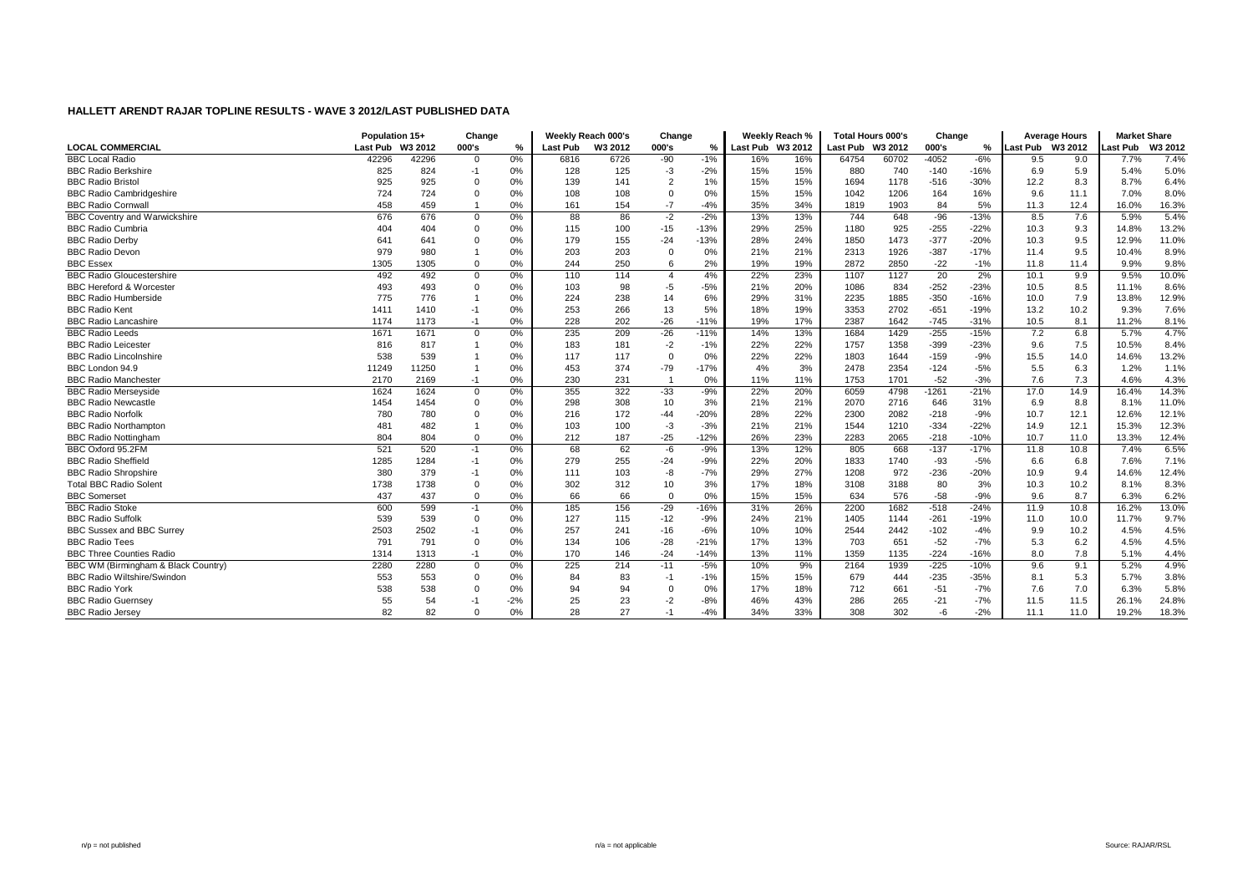|                                      | Population 15+   |       | Change         |       |          | Weekly Reach 000's | Change         |        |                  | Weekly Reach % | <b>Total Hours 000's</b> |       | Change  |        |                  | <b>Average Hours</b> | <b>Market Share</b> |         |
|--------------------------------------|------------------|-------|----------------|-------|----------|--------------------|----------------|--------|------------------|----------------|--------------------------|-------|---------|--------|------------------|----------------------|---------------------|---------|
| <b>LOCAL COMMERCIAL</b>              | Last Pub W3 2012 |       | 000's          | %     | Last Pub | W3 2012            | 000's          | %      | Last Pub W3 2012 |                | Last Pub W3 2012         |       | 000's   | ℅      | Last Pub W3 2012 |                      | Last Pub            | W3 2012 |
| <b>BBC Local Radio</b>               | 42296            | 42296 | $\Omega$       | 0%    | 6816     | 6726               | $-90$          | $-1%$  | 16%              | 16%            | 64754                    | 60702 | $-4052$ | $-6%$  | 9.5              | 9.0                  | 7.7%                | 7.4%    |
| <b>BBC Radio Berkshire</b>           | 825              | 824   | $-1$           | 0%    | 128      | 125                | $-3$           | $-2%$  | 15%              | 15%            | 880                      | 740   | $-140$  | $-16%$ | 6.9              | 5.9                  | 5.4%                | 5.0%    |
| <b>BBC Radio Bristo</b>              | 925              | 925   | $\Omega$       | 0%    | 139      | 141                | $\overline{2}$ | 1%     | 15%              | 15%            | 1694                     | 1178  | $-516$  | $-30%$ | 12.2             | 8.3                  | 8.7%                | 6.4%    |
| <b>BBC Radio Cambridgeshire</b>      | 724              | 724   | $\Omega$       | 0%    | 108      | 108                | $\mathbf 0$    | 0%     | 15%              | 15%            | 1042                     | 1206  | 164     | 16%    | 9.6              | 11.1                 | 7.0%                | 8.0%    |
| <b>BBC Radio Cornwal</b>             | 458              | 459   |                | 0%    | 161      | 154                | $-7$           | $-4%$  | 35%              | 34%            | 1819                     | 1903  | 84      | 5%     | 11.3             | 12.4                 | 16.0%               | 16.3%   |
| <b>BBC Coventry and Warwickshire</b> | 676              | 676   | $\Omega$       | 0%    | 88       | 86                 | $-2$           | $-2%$  | 13%              | 13%            | 744                      | 648   | $-96$   | $-13%$ | 8.5              | 7.6                  | 5.9%                | 5.4%    |
| <b>BBC Radio Cumbria</b>             | 404              | 404   |                | 0%    | 115      | 100                | $-15$          | $-13%$ | 29%              | 25%            | 1180                     | 925   | $-255$  | $-22%$ | 10.3             | 9.3                  | 14.8%               | 13.2%   |
| <b>BBC Radio Derby</b>               | 641              | 641   |                | 0%    | 179      | 155                | $-24$          | $-13%$ | 28%              | 24%            | 1850                     | 1473  | $-377$  | $-20%$ | 10.3             | 9.5                  | 12.9%               | 11.0%   |
| <b>BBC Radio Devon</b>               | 979              | 980   |                | 0%    | 203      | 203                | $\Omega$       | 0%     | 21%              | 21%            | 2313                     | 1926  | $-387$  | $-17%$ | 11.4             | 9.5                  | 10.4%               | 8.9%    |
| <b>BBC Essex</b>                     | 1305             | 1305  | $\Omega$       | 0%    | 244      | 250                | 6              | 2%     | 19%              | 19%            | 2872                     | 2850  | $-22$   | $-1%$  | 11.8             | 11.4                 | 9.9%                | 9.8%    |
| <b>BBC Radio Gloucestershire</b>     | 492              | 492   | $\overline{0}$ | 0%    | 110      | 114                | $\overline{4}$ | 4%     | 22%              | 23%            | 1107                     | 1127  | 20      | 2%     | 10.1             | 9.9                  | 9.5%                | 10.0%   |
| <b>BBC Hereford &amp; Worcester</b>  | 493              | 493   | $\Omega$       | 0%    | 103      | 98                 | $-5$           | $-5%$  | 21%              | 20%            | 1086                     | 834   | $-252$  | $-23%$ | 10.5             | 8.5                  | 11.1%               | 8.6%    |
| <b>BBC Radio Humberside</b>          | 775              | 776   |                | 0%    | 224      | 238                | 14             | 6%     | 29%              | 31%            | 2235                     | 1885  | $-350$  | $-16%$ | 10.0             | 7.9                  | 13.8%               | 12.9%   |
| <b>BBC Radio Kent</b>                | 1411             | 1410  | $-1$           | 0%    | 253      | 266                | 13             | 5%     | 18%              | 19%            | 3353                     | 2702  | $-651$  | $-19%$ | 13.2             | 10.2                 | 9.3%                | 7.6%    |
| <b>BBC Radio Lancashire</b>          | 1174             | 1173  | -1             | 0%    | 228      | 202                | $-26$          | $-11%$ | 19%              | 17%            | 2387                     | 1642  | $-745$  | $-31%$ | 10.5             | 8.1                  | 11.2%               | 8.1%    |
| <b>BBC Radio Leeds</b>               | 1671             | 1671  | $\Omega$       | 0%    | 235      | 209                | $-26$          | $-11%$ | 14%              | 13%            | 1684                     | 1429  | $-255$  | $-15%$ | 7.2              | 6.8                  | 5.7%                | 4.7%    |
| <b>BBC Radio Leicester</b>           | 816              | 817   |                | 0%    | 183      | 181                | $-2$           | $-1%$  | 22%              | 22%            | 1757                     | 1358  | $-399$  | $-23%$ | 9.6              | 7.5                  | 10.5%               | 8.4%    |
| <b>BBC Radio Lincolnshire</b>        | 538              | 539   |                | 0%    | 117      | 117                | $\Omega$       | 0%     | 22%              | 22%            | 1803                     | 1644  | $-159$  | $-9%$  | 15.5             | 14.0                 | 14.6%               | 13.2%   |
| BBC London 94.9                      | 11249            | 11250 |                | 0%    | 453      | 374                | $-79$          | $-17%$ | 4%               | 3%             | 2478                     | 2354  | $-124$  | $-5%$  | 5.5              | 6.3                  | 1.2%                | 1.1%    |
| <b>BBC Radio Manchester</b>          | 2170             | 2169  | $-1$           | 0%    | 230      | 231                |                | 0%     | 11%              | 11%            | 1753                     | 1701  | $-52$   | $-3%$  | 7.6              | 7.3                  | 4.6%                | 4.3%    |
| <b>BBC Radio Mersevside</b>          | 1624             | 1624  | $\mathbf 0$    | 0%    | 355      | 322                | $-33$          | $-9%$  | 22%              | 20%            | 6059                     | 4798  | $-1261$ | $-21%$ | 17.0             | 14.9                 | 16.4%               | 14.3%   |
| <b>BBC Radio Newcastle</b>           | 1454             | 1454  |                | 0%    | 298      | 308                | 10             | 3%     | 21%              | 21%            | 2070                     | 2716  | 646     | 31%    | 6.9              | 8.8                  | 8.1%                | 11.0%   |
| <b>BBC Radio Norfolk</b>             | 780              | 780   |                | 0%    | 216      | 172                | $-44$          | $-20%$ | 28%              | 22%            | 2300                     | 2082  | $-218$  | $-9%$  | 10.7             | 12.1                 | 12.6%               | 12.1%   |
| <b>BBC Radio Northampton</b>         | 481              | 482   |                | 0%    | 103      | 100                | $-3$           | $-3%$  | 21%              | 21%            | 1544                     | 1210  | $-334$  | $-22%$ | 14.9             | 12.1                 | 15.3%               | 12.3%   |
| <b>BBC Radio Nottingham</b>          | 804              | 804   | $\Omega$       | 0%    | 212      | 187                | $-25$          | $-12%$ | 26%              | 23%            | 2283                     | 2065  | $-218$  | $-10%$ | 10.7             | 11.0                 | 13.3%               | 12.4%   |
| BBC Oxford 95.2FM                    | 521              | 520   | $-1$           | 0%    | 68       | 62                 | -6             | $-9%$  | 13%              | 12%            | 805                      | 668   | $-137$  | $-17%$ | 11.8             | 10.8                 | 7.4%                | 6.5%    |
| <b>BBC Radio Sheffield</b>           | 1285             | 1284  | $-1$           | 0%    | 279      | 255                | $-24$          | $-9%$  | 22%              | 20%            | 1833                     | 1740  | $-93$   | $-5%$  | 6.6              | 6.8                  | 7.6%                | 7.1%    |
| <b>BBC Radio Shropshire</b>          | 380              | 379   | $-1$           | 0%    | 111      | 103                | -8             | $-7%$  | 29%              | 27%            | 1208                     | 972   | $-236$  | $-20%$ | 10.9             | 9.4                  | 14.6%               | 12.4%   |
| <b>Total BBC Radio Solent</b>        | 1738             | 1738  | $\Omega$       | 0%    | 302      | 312                | 10             | 3%     | 17%              | 18%            | 3108                     | 3188  | 80      | 3%     | 10.3             | 10.2                 | 8.1%                | 8.3%    |
| <b>BBC Somerset</b>                  | 437              | 437   | $\Omega$       | 0%    | 66       | 66                 | $\Omega$       | 0%     | 15%              | 15%            | 634                      | 576   | $-58$   | $-9%$  | 9.6              | 8.7                  | 6.3%                | 6.2%    |
| <b>BBC Radio Stoke</b>               | 600              | 599   | $-1$           | 0%    | 185      | 156                | $-29$          | $-16%$ | 31%              | 26%            | 2200                     | 1682  | $-518$  | $-24%$ | 11.9             | 10.8                 | 16.2%               | 13.0%   |
| <b>BBC Radio Suffolk</b>             | 539              | 539   | $\Omega$       | 0%    | 127      | 115                | $-12$          | $-9%$  | 24%              | 21%            | 1405                     | 1144  | $-261$  | $-19%$ | 11.0             | 10.0                 | 11.7%               | 9.7%    |
| <b>BBC Sussex and BBC Surrey</b>     | 2503             | 2502  | $-1$           | 0%    | 257      | 241                | $-16$          | $-6%$  | 10%              | 10%            | 2544                     | 2442  | $-102$  | $-4%$  | 9.9              | 10.2                 | 4.5%                | 4.5%    |
| <b>BBC Radio Tees</b>                | 791              | 791   | $\mathbf 0$    | 0%    | 134      | 106                | $-28$          | $-21%$ | 17%              | 13%            | 703                      | 651   | $-52$   | $-7%$  | 5.3              | 6.2                  | 4.5%                | 4.5%    |
| <b>BBC Three Counties Radio</b>      | 1314             | 1313  | $-1$           | 0%    | 170      | 146                | $-24$          | $-14%$ | 13%              | 11%            | 1359                     | 1135  | $-224$  | $-16%$ | 8.0              | 7.8                  | 5.1%                | 4.4%    |
| BBC WM (Birmingham & Black Country)  | 2280             | 2280  | $\mathbf 0$    | 0%    | 225      | 214                | $-11$          | $-5%$  | 10%              | 9%             | 2164                     | 1939  | $-225$  | $-10%$ | 9.6              | 9.1                  | 5.2%                | 4.9%    |
| <b>BBC Radio Wiltshire/Swindon</b>   | 553              | 553   | $\Omega$       | 0%    | 84       | 83                 | $-1$           | $-1%$  | 15%              | 15%            | 679                      | 444   | $-235$  | $-35%$ | 8.1              | 5.3                  | 5.7%                | 3.8%    |
| <b>BBC Radio York</b>                | 538              | 538   |                | 0%    | 94       | 94                 | $\Omega$       | 0%     | 17%              | 18%            | 712                      | 661   | $-51$   | $-7%$  | 7.6              | 7.0                  | 6.3%                | 5.8%    |
| <b>BBC Radio Guernsey</b>            | 55               | 54    |                | $-2%$ | 25       | 23                 | $-2$           | $-8%$  | 46%              | 43%            | 286                      | 265   | $-21$   | $-7%$  | 11.5             | 11.5                 | 26.1%               | 24.8%   |
| <b>BBC Radio Jersey</b>              | 82               | 82    |                | 0%    | 28       | 27                 | $-1$           | $-4%$  | 34%              | 33%            | 308                      | 302   | -6      | $-2%$  | 11.1             | 11.0                 | 19.2%               | 18.3%   |